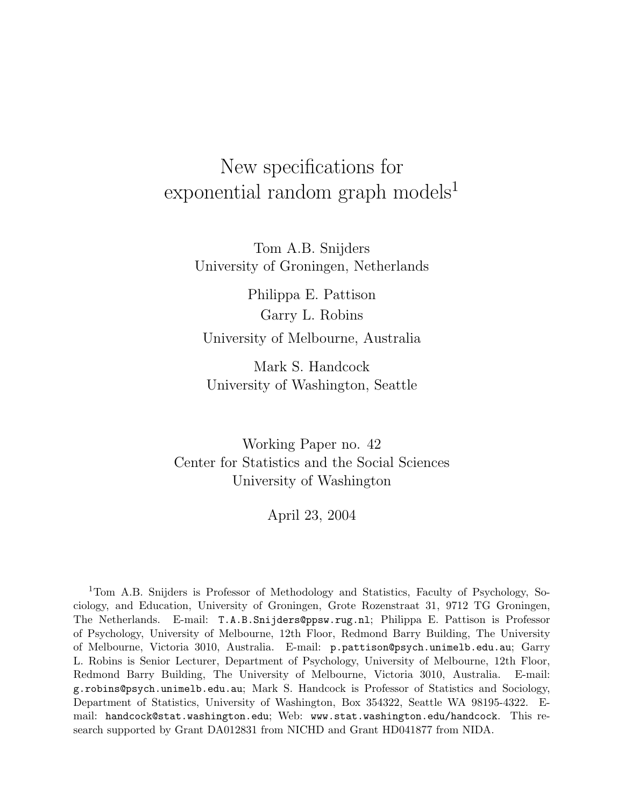# New specifications for exponential random graph models<sup>1</sup>

Tom A.B. Snijders University of Groningen, Netherlands

Philippa E. Pattison Garry L. Robins University of Melbourne, Australia

Mark S. Handcock University of Washington, Seattle

Working Paper no. 42 Center for Statistics and the Social Sciences University of Washington

April 23, 2004

<sup>1</sup>Tom A.B. Snijders is Professor of Methodology and Statistics, Faculty of Psychology, Sociology, and Education, University of Groningen, Grote Rozenstraat 31, 9712 TG Groningen, The Netherlands. E-mail: T.A.B.Snijders@ppsw.rug.nl; Philippa E. Pattison is Professor of Psychology, University of Melbourne, 12th Floor, Redmond Barry Building, The University of Melbourne, Victoria 3010, Australia. E-mail: p.pattison@psych.unimelb.edu.au; Garry L. Robins is Senior Lecturer, Department of Psychology, University of Melbourne, 12th Floor, Redmond Barry Building, The University of Melbourne, Victoria 3010, Australia. E-mail: g.robins@psych.unimelb.edu.au; Mark S. Handcock is Professor of Statistics and Sociology, Department of Statistics, University of Washington, Box 354322, Seattle WA 98195-4322. Email: handcock@stat.washington.edu; Web: www.stat.washington.edu/handcock. This research supported by Grant DA012831 from NICHD and Grant HD041877 from NIDA.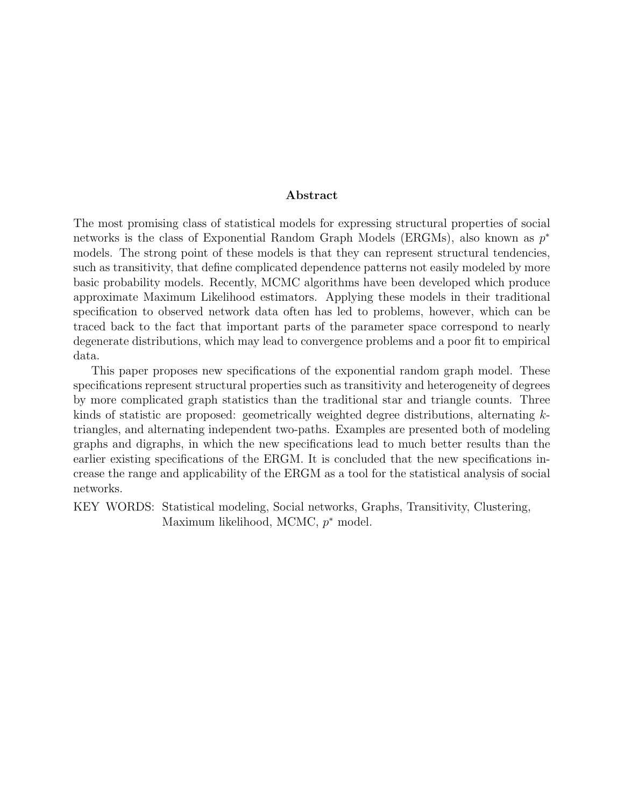#### Abstract

The most promising class of statistical models for expressing structural properties of social networks is the class of Exponential Random Graph Models (ERGMs), also known as  $p^*$ models. The strong point of these models is that they can represent structural tendencies, such as transitivity, that define complicated dependence patterns not easily modeled by more basic probability models. Recently, MCMC algorithms have been developed which produce approximate Maximum Likelihood estimators. Applying these models in their traditional specification to observed network data often has led to problems, however, which can be traced back to the fact that important parts of the parameter space correspond to nearly degenerate distributions, which may lead to convergence problems and a poor fit to empirical data.

This paper proposes new specifications of the exponential random graph model. These specifications represent structural properties such as transitivity and heterogeneity of degrees by more complicated graph statistics than the traditional star and triangle counts. Three kinds of statistic are proposed: geometrically weighted degree distributions, alternating ktriangles, and alternating independent two-paths. Examples are presented both of modeling graphs and digraphs, in which the new specifications lead to much better results than the earlier existing specifications of the ERGM. It is concluded that the new specifications increase the range and applicability of the ERGM as a tool for the statistical analysis of social networks.

KEY WORDS: Statistical modeling, Social networks, Graphs, Transitivity, Clustering, Maximum likelihood, MCMC,  $p^*$  model.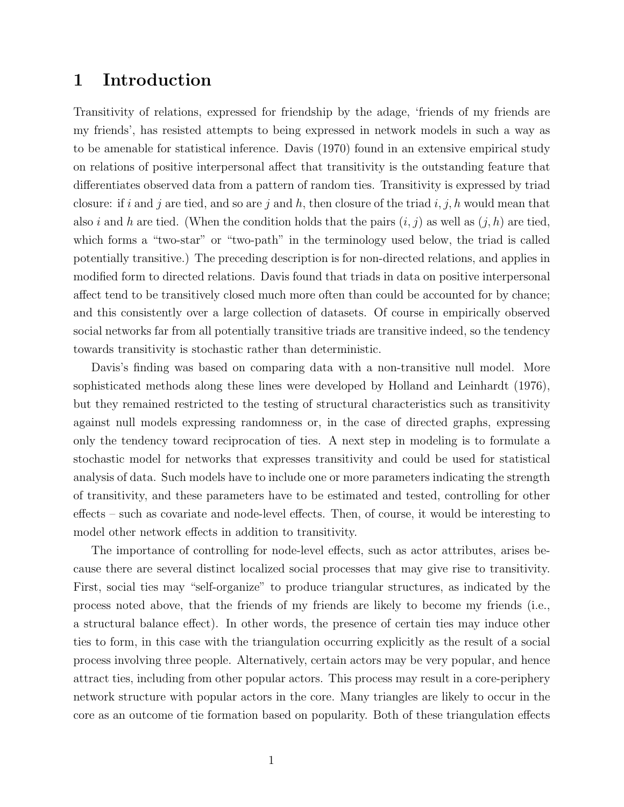# 1 Introduction

Transitivity of relations, expressed for friendship by the adage, 'friends of my friends are my friends', has resisted attempts to being expressed in network models in such a way as to be amenable for statistical inference. Davis (1970) found in an extensive empirical study on relations of positive interpersonal affect that transitivity is the outstanding feature that differentiates observed data from a pattern of random ties. Transitivity is expressed by triad closure: if i and j are tied, and so are j and h, then closure of the triad i, j, h would mean that also i and h are tied. (When the condition holds that the pairs  $(i, j)$  as well as  $(j, h)$  are tied, which forms a "two-star" or "two-path" in the terminology used below, the triad is called potentially transitive.) The preceding description is for non-directed relations, and applies in modified form to directed relations. Davis found that triads in data on positive interpersonal affect tend to be transitively closed much more often than could be accounted for by chance; and this consistently over a large collection of datasets. Of course in empirically observed social networks far from all potentially transitive triads are transitive indeed, so the tendency towards transitivity is stochastic rather than deterministic.

Davis's finding was based on comparing data with a non-transitive null model. More sophisticated methods along these lines were developed by Holland and Leinhardt (1976), but they remained restricted to the testing of structural characteristics such as transitivity against null models expressing randomness or, in the case of directed graphs, expressing only the tendency toward reciprocation of ties. A next step in modeling is to formulate a stochastic model for networks that expresses transitivity and could be used for statistical analysis of data. Such models have to include one or more parameters indicating the strength of transitivity, and these parameters have to be estimated and tested, controlling for other effects – such as covariate and node-level effects. Then, of course, it would be interesting to model other network effects in addition to transitivity.

The importance of controlling for node-level effects, such as actor attributes, arises because there are several distinct localized social processes that may give rise to transitivity. First, social ties may "self-organize" to produce triangular structures, as indicated by the process noted above, that the friends of my friends are likely to become my friends (i.e., a structural balance effect). In other words, the presence of certain ties may induce other ties to form, in this case with the triangulation occurring explicitly as the result of a social process involving three people. Alternatively, certain actors may be very popular, and hence attract ties, including from other popular actors. This process may result in a core-periphery network structure with popular actors in the core. Many triangles are likely to occur in the core as an outcome of tie formation based on popularity. Both of these triangulation effects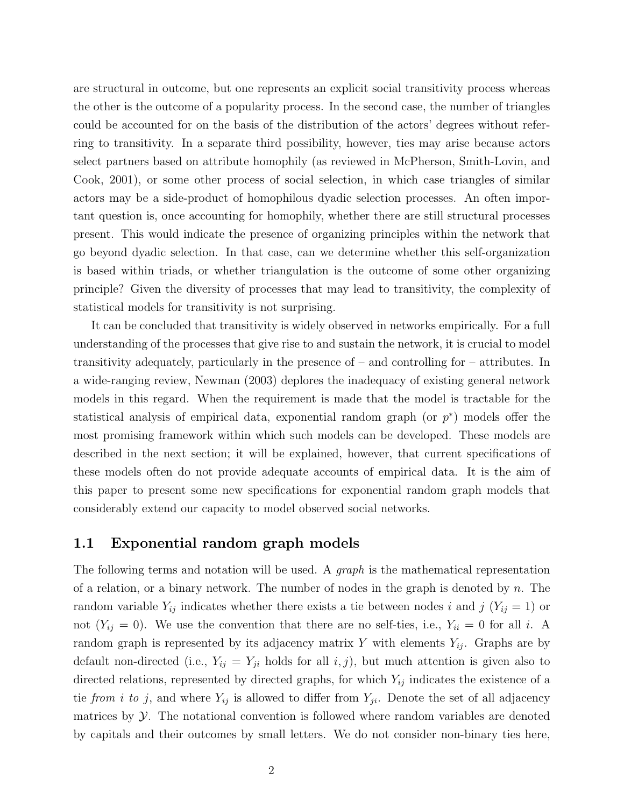are structural in outcome, but one represents an explicit social transitivity process whereas the other is the outcome of a popularity process. In the second case, the number of triangles could be accounted for on the basis of the distribution of the actors' degrees without referring to transitivity. In a separate third possibility, however, ties may arise because actors select partners based on attribute homophily (as reviewed in McPherson, Smith-Lovin, and Cook, 2001), or some other process of social selection, in which case triangles of similar actors may be a side-product of homophilous dyadic selection processes. An often important question is, once accounting for homophily, whether there are still structural processes present. This would indicate the presence of organizing principles within the network that go beyond dyadic selection. In that case, can we determine whether this self-organization is based within triads, or whether triangulation is the outcome of some other organizing principle? Given the diversity of processes that may lead to transitivity, the complexity of statistical models for transitivity is not surprising.

It can be concluded that transitivity is widely observed in networks empirically. For a full understanding of the processes that give rise to and sustain the network, it is crucial to model transitivity adequately, particularly in the presence of – and controlling for – attributes. In a wide-ranging review, Newman (2003) deplores the inadequacy of existing general network models in this regard. When the requirement is made that the model is tractable for the statistical analysis of empirical data, exponential random graph (or  $p^*$ ) models offer the most promising framework within which such models can be developed. These models are described in the next section; it will be explained, however, that current specifications of these models often do not provide adequate accounts of empirical data. It is the aim of this paper to present some new specifications for exponential random graph models that considerably extend our capacity to model observed social networks.

#### 1.1 Exponential random graph models

The following terms and notation will be used. A *graph* is the mathematical representation of a relation, or a binary network. The number of nodes in the graph is denoted by  $n$ . The random variable  $Y_{ij}$  indicates whether there exists a tie between nodes i and j  $(Y_{ij} = 1)$  or not  $(Y_{ij} = 0)$ . We use the convention that there are no self-ties, i.e.,  $Y_{ii} = 0$  for all i. A random graph is represented by its adjacency matrix Y with elements  $Y_{ij}$ . Graphs are by default non-directed (i.e.,  $Y_{ij} = Y_{ji}$  holds for all  $i, j$ ), but much attention is given also to directed relations, represented by directed graphs, for which  $Y_{ij}$  indicates the existence of a tie from i to j, and where  $Y_{ij}$  is allowed to differ from  $Y_{ji}$ . Denote the set of all adjacency matrices by  $\mathcal Y$ . The notational convention is followed where random variables are denoted by capitals and their outcomes by small letters. We do not consider non-binary ties here,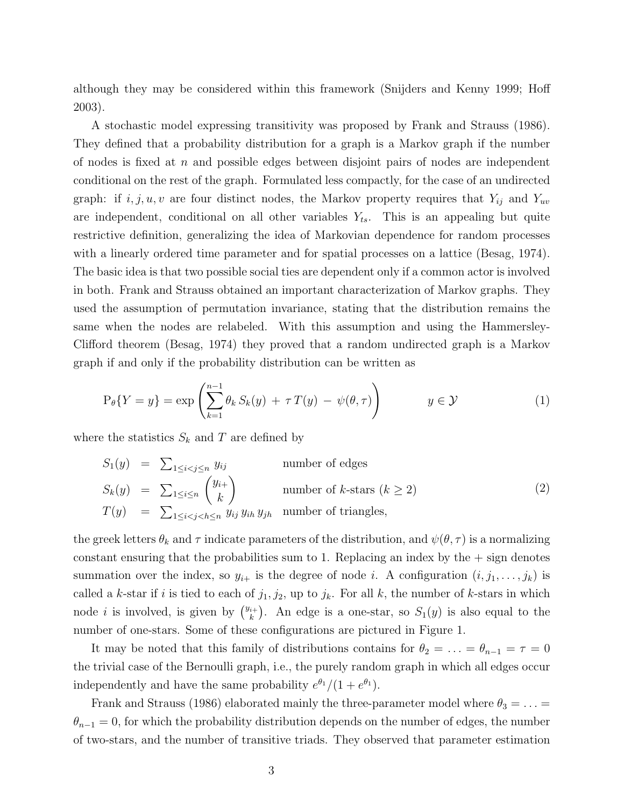although they may be considered within this framework (Snijders and Kenny 1999; Hoff 2003).

A stochastic model expressing transitivity was proposed by Frank and Strauss (1986). They defined that a probability distribution for a graph is a Markov graph if the number of nodes is fixed at  $n$  and possible edges between disjoint pairs of nodes are independent conditional on the rest of the graph. Formulated less compactly, for the case of an undirected graph: if  $i, j, u, v$  are four distinct nodes, the Markov property requires that  $Y_{ij}$  and  $Y_{uv}$ are independent, conditional on all other variables  $Y_{ts}$ . This is an appealing but quite restrictive definition, generalizing the idea of Markovian dependence for random processes with a linearly ordered time parameter and for spatial processes on a lattice (Besag, 1974). The basic idea is that two possible social ties are dependent only if a common actor is involved in both. Frank and Strauss obtained an important characterization of Markov graphs. They used the assumption of permutation invariance, stating that the distribution remains the same when the nodes are relabeled. With this assumption and using the Hammersley-Clifford theorem (Besag, 1974) they proved that a random undirected graph is a Markov graph if and only if the probability distribution can be written as

$$
P_{\theta}\{Y=y\} = \exp\left(\sum_{k=1}^{n-1} \theta_k S_k(y) + \tau T(y) - \psi(\theta, \tau)\right) \qquad y \in \mathcal{Y}
$$
 (1)

where the statistics  $S_k$  and T are defined by

$$
S_1(y) = \sum_{1 \le i < j \le n} y_{ij} \qquad \text{number of edges}
$$
\n
$$
S_k(y) = \sum_{1 \le i \le n} {y_{i+} \choose k} \qquad \text{number of } k\text{-stars } (k \ge 2)
$$
\n
$$
T(y) = \sum_{1 \le i < j < h \le n} y_{ij} y_{ih} y_{jh} \qquad \text{number of triangles,}
$$
\n
$$
(2)
$$

the greek letters  $\theta_k$  and  $\tau$  indicate parameters of the distribution, and  $\psi(\theta, \tau)$  is a normalizing constant ensuring that the probabilities sum to 1. Replacing an index by the  $+$  sign denotes summation over the index, so  $y_{i+}$  is the degree of node i. A configuration  $(i, j_1, \ldots, j_k)$  is called a k-star if i is tied to each of  $j_1, j_2$ , up to  $j_k$ . For all k, the number of k-stars in which node *i* is involved, is given by  $\binom{y_{i+1}}{k}$  $\binom{i+1}{k}$ . An edge is a one-star, so  $S_1(y)$  is also equal to the number of one-stars. Some of these configurations are pictured in Figure 1.

It may be noted that this family of distributions contains for  $\theta_2 = \ldots = \theta_{n-1} = \tau = 0$ the trivial case of the Bernoulli graph, i.e., the purely random graph in which all edges occur independently and have the same probability  $e^{\theta_1}/(1+e^{\theta_1})$ .

Frank and Strauss (1986) elaborated mainly the three-parameter model where  $\theta_3 = \ldots =$  $\theta_{n-1} = 0$ , for which the probability distribution depends on the number of edges, the number of two-stars, and the number of transitive triads. They observed that parameter estimation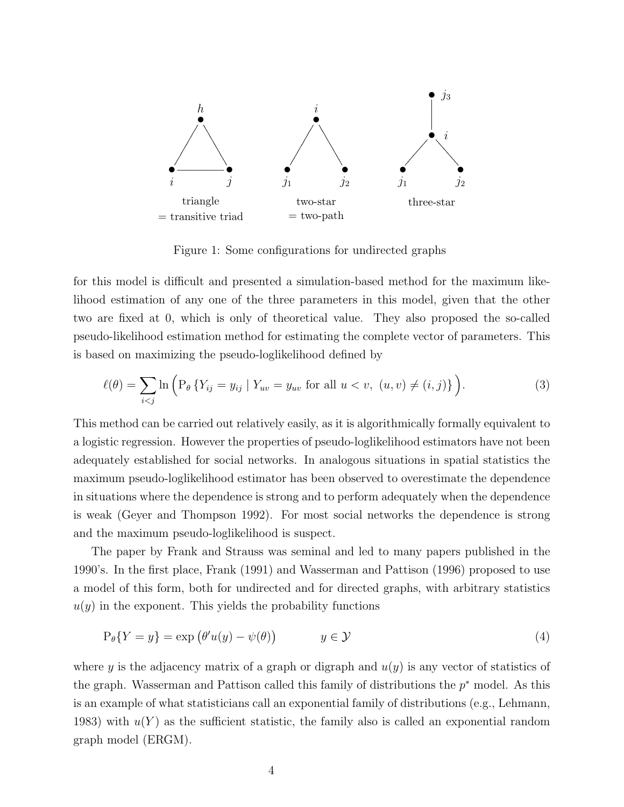

Figure 1: Some configurations for undirected graphs

for this model is difficult and presented a simulation-based method for the maximum likelihood estimation of any one of the three parameters in this model, given that the other two are fixed at 0, which is only of theoretical value. They also proposed the so-called pseudo-likelihood estimation method for estimating the complete vector of parameters. This is based on maximizing the pseudo-loglikelihood defined by

$$
\ell(\theta) = \sum_{i < j} \ln \left( P_{\theta} \{ Y_{ij} = y_{ij} \mid Y_{uv} = y_{uv} \text{ for all } u < v, \ (u, v) \neq (i, j) \} \right). \tag{3}
$$

This method can be carried out relatively easily, as it is algorithmically formally equivalent to a logistic regression. However the properties of pseudo-loglikelihood estimators have not been adequately established for social networks. In analogous situations in spatial statistics the maximum pseudo-loglikelihood estimator has been observed to overestimate the dependence in situations where the dependence is strong and to perform adequately when the dependence is weak (Geyer and Thompson 1992). For most social networks the dependence is strong and the maximum pseudo-loglikelihood is suspect.

The paper by Frank and Strauss was seminal and led to many papers published in the 1990's. In the first place, Frank (1991) and Wasserman and Pattison (1996) proposed to use a model of this form, both for undirected and for directed graphs, with arbitrary statistics  $u(y)$  in the exponent. This yields the probability functions

$$
P_{\theta}\{Y = y\} = \exp\left(\theta'u(y) - \psi(\theta)\right) \qquad y \in \mathcal{Y} \tag{4}
$$

where y is the adjacency matrix of a graph or digraph and  $u(y)$  is any vector of statistics of the graph. Wasserman and Pattison called this family of distributions the  $p^*$  model. As this is an example of what statisticians call an exponential family of distributions (e.g., Lehmann, 1983) with  $u(Y)$  as the sufficient statistic, the family also is called an exponential random graph model (ERGM).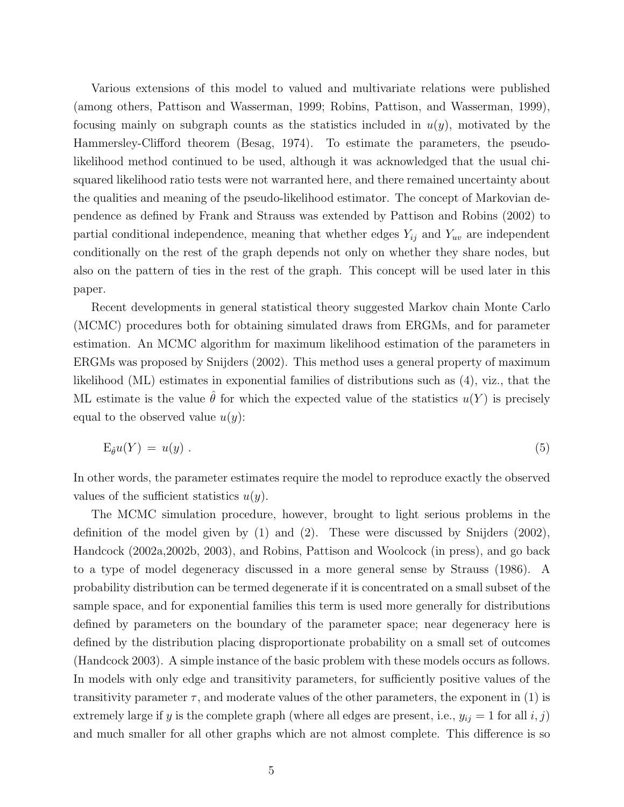Various extensions of this model to valued and multivariate relations were published (among others, Pattison and Wasserman, 1999; Robins, Pattison, and Wasserman, 1999), focusing mainly on subgraph counts as the statistics included in  $u(y)$ , motivated by the Hammersley-Clifford theorem (Besag, 1974). To estimate the parameters, the pseudolikelihood method continued to be used, although it was acknowledged that the usual chisquared likelihood ratio tests were not warranted here, and there remained uncertainty about the qualities and meaning of the pseudo-likelihood estimator. The concept of Markovian dependence as defined by Frank and Strauss was extended by Pattison and Robins (2002) to partial conditional independence, meaning that whether edges  $Y_{ij}$  and  $Y_{uv}$  are independent conditionally on the rest of the graph depends not only on whether they share nodes, but also on the pattern of ties in the rest of the graph. This concept will be used later in this paper.

Recent developments in general statistical theory suggested Markov chain Monte Carlo (MCMC) procedures both for obtaining simulated draws from ERGMs, and for parameter estimation. An MCMC algorithm for maximum likelihood estimation of the parameters in ERGMs was proposed by Snijders (2002). This method uses a general property of maximum likelihood (ML) estimates in exponential families of distributions such as (4), viz., that the ML estimate is the value  $\hat{\theta}$  for which the expected value of the statistics  $u(Y)$  is precisely equal to the observed value  $u(y)$ :

$$
E_{\hat{\theta}}u(Y) = u(y) . \tag{5}
$$

In other words, the parameter estimates require the model to reproduce exactly the observed values of the sufficient statistics  $u(y)$ .

The MCMC simulation procedure, however, brought to light serious problems in the definition of the model given by  $(1)$  and  $(2)$ . These were discussed by Snijders  $(2002)$ , Handcock (2002a,2002b, 2003), and Robins, Pattison and Woolcock (in press), and go back to a type of model degeneracy discussed in a more general sense by Strauss (1986). A probability distribution can be termed degenerate if it is concentrated on a small subset of the sample space, and for exponential families this term is used more generally for distributions defined by parameters on the boundary of the parameter space; near degeneracy here is defined by the distribution placing disproportionate probability on a small set of outcomes (Handcock 2003). A simple instance of the basic problem with these models occurs as follows. In models with only edge and transitivity parameters, for sufficiently positive values of the transitivity parameter  $\tau$ , and moderate values of the other parameters, the exponent in (1) is extremely large if y is the complete graph (where all edges are present, i.e.,  $y_{ij} = 1$  for all  $i, j$ ) and much smaller for all other graphs which are not almost complete. This difference is so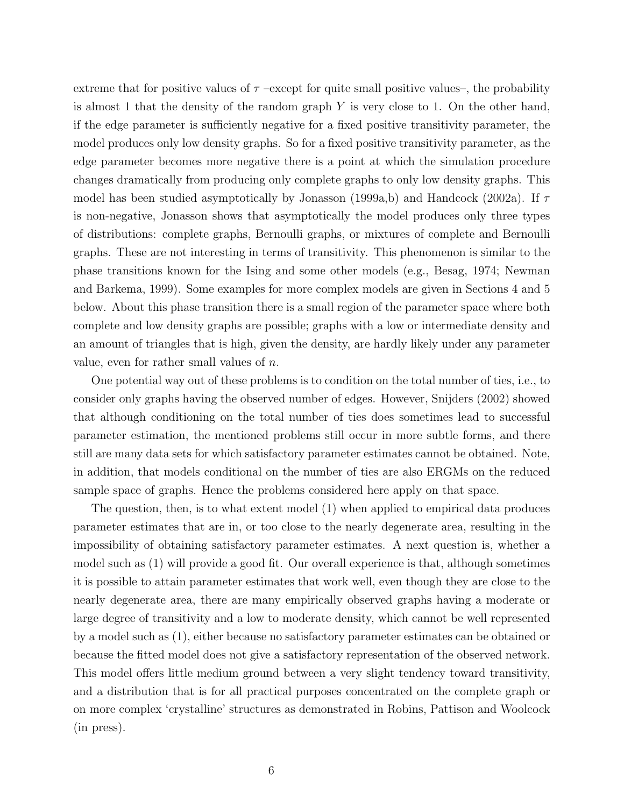extreme that for positive values of  $\tau$  –except for quite small positive values–, the probability is almost 1 that the density of the random graph  $Y$  is very close to 1. On the other hand, if the edge parameter is sufficiently negative for a fixed positive transitivity parameter, the model produces only low density graphs. So for a fixed positive transitivity parameter, as the edge parameter becomes more negative there is a point at which the simulation procedure changes dramatically from producing only complete graphs to only low density graphs. This model has been studied asymptotically by Jonasson (1999a,b) and Handcock (2002a). If  $\tau$ is non-negative, Jonasson shows that asymptotically the model produces only three types of distributions: complete graphs, Bernoulli graphs, or mixtures of complete and Bernoulli graphs. These are not interesting in terms of transitivity. This phenomenon is similar to the phase transitions known for the Ising and some other models (e.g., Besag, 1974; Newman and Barkema, 1999). Some examples for more complex models are given in Sections 4 and 5 below. About this phase transition there is a small region of the parameter space where both complete and low density graphs are possible; graphs with a low or intermediate density and an amount of triangles that is high, given the density, are hardly likely under any parameter value, even for rather small values of n.

One potential way out of these problems is to condition on the total number of ties, i.e., to consider only graphs having the observed number of edges. However, Snijders (2002) showed that although conditioning on the total number of ties does sometimes lead to successful parameter estimation, the mentioned problems still occur in more subtle forms, and there still are many data sets for which satisfactory parameter estimates cannot be obtained. Note, in addition, that models conditional on the number of ties are also ERGMs on the reduced sample space of graphs. Hence the problems considered here apply on that space.

The question, then, is to what extent model (1) when applied to empirical data produces parameter estimates that are in, or too close to the nearly degenerate area, resulting in the impossibility of obtaining satisfactory parameter estimates. A next question is, whether a model such as (1) will provide a good fit. Our overall experience is that, although sometimes it is possible to attain parameter estimates that work well, even though they are close to the nearly degenerate area, there are many empirically observed graphs having a moderate or large degree of transitivity and a low to moderate density, which cannot be well represented by a model such as (1), either because no satisfactory parameter estimates can be obtained or because the fitted model does not give a satisfactory representation of the observed network. This model offers little medium ground between a very slight tendency toward transitivity, and a distribution that is for all practical purposes concentrated on the complete graph or on more complex 'crystalline' structures as demonstrated in Robins, Pattison and Woolcock (in press).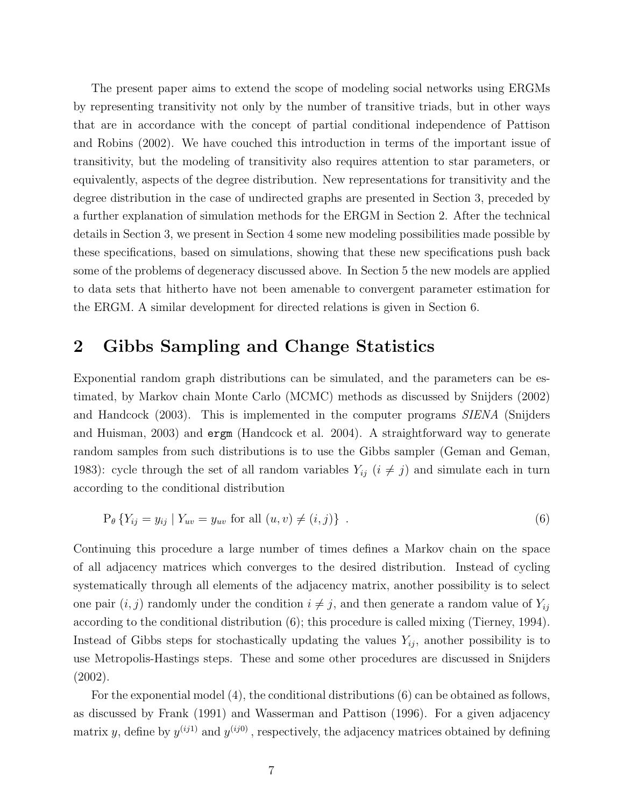The present paper aims to extend the scope of modeling social networks using ERGMs by representing transitivity not only by the number of transitive triads, but in other ways that are in accordance with the concept of partial conditional independence of Pattison and Robins (2002). We have couched this introduction in terms of the important issue of transitivity, but the modeling of transitivity also requires attention to star parameters, or equivalently, aspects of the degree distribution. New representations for transitivity and the degree distribution in the case of undirected graphs are presented in Section 3, preceded by a further explanation of simulation methods for the ERGM in Section 2. After the technical details in Section 3, we present in Section 4 some new modeling possibilities made possible by these specifications, based on simulations, showing that these new specifications push back some of the problems of degeneracy discussed above. In Section 5 the new models are applied to data sets that hitherto have not been amenable to convergent parameter estimation for the ERGM. A similar development for directed relations is given in Section 6.

## 2 Gibbs Sampling and Change Statistics

Exponential random graph distributions can be simulated, and the parameters can be estimated, by Markov chain Monte Carlo (MCMC) methods as discussed by Snijders (2002) and Handcock (2003). This is implemented in the computer programs SIENA (Snijders and Huisman, 2003) and ergm (Handcock et al. 2004). A straightforward way to generate random samples from such distributions is to use the Gibbs sampler (Geman and Geman, 1983): cycle through the set of all random variables  $Y_{ij}$   $(i \neq j)$  and simulate each in turn according to the conditional distribution

$$
P_{\theta} \{ Y_{ij} = y_{ij} \mid Y_{uv} = y_{uv} \text{ for all } (u, v) \neq (i, j) \} .
$$
 (6)

Continuing this procedure a large number of times defines a Markov chain on the space of all adjacency matrices which converges to the desired distribution. Instead of cycling systematically through all elements of the adjacency matrix, another possibility is to select one pair  $(i, j)$  randomly under the condition  $i \neq j$ , and then generate a random value of  $Y_{ij}$ according to the conditional distribution (6); this procedure is called mixing (Tierney, 1994). Instead of Gibbs steps for stochastically updating the values  $Y_{ij}$ , another possibility is to use Metropolis-Hastings steps. These and some other procedures are discussed in Snijders (2002).

For the exponential model (4), the conditional distributions (6) can be obtained as follows, as discussed by Frank (1991) and Wasserman and Pattison (1996). For a given adjacency matrix y, define by  $y^{(ij1)}$  and  $y^{(ij0)}$ , respectively, the adjacency matrices obtained by defining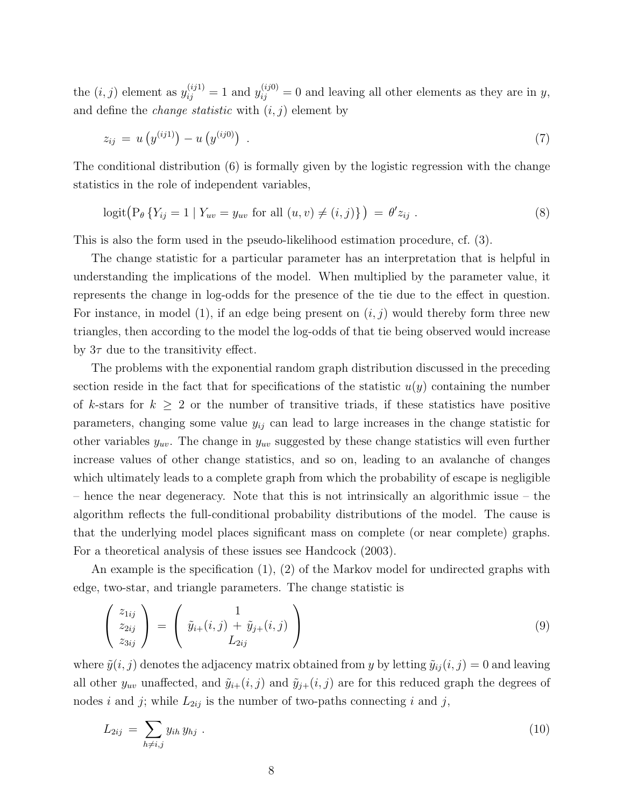the  $(i, j)$  element as  $y_{ij}^{(ij1)} = 1$  and  $y_{ij}^{(ij0)} = 0$  and leaving all other elements as they are in y, and define the *change statistic* with  $(i, j)$  element by

$$
z_{ij} = u\left(y^{(ij1)}\right) - u\left(y^{(ij0)}\right) \tag{7}
$$

The conditional distribution (6) is formally given by the logistic regression with the change statistics in the role of independent variables,

$$
logit(P_{\theta} \{ Y_{ij} = 1 | Y_{uv} = y_{uv} \text{ for all } (u, v) \neq (i, j) \}) = \theta' z_{ij} .
$$
 (8)

This is also the form used in the pseudo-likelihood estimation procedure, cf. (3).

The change statistic for a particular parameter has an interpretation that is helpful in understanding the implications of the model. When multiplied by the parameter value, it represents the change in log-odds for the presence of the tie due to the effect in question. For instance, in model (1), if an edge being present on  $(i, j)$  would thereby form three new triangles, then according to the model the log-odds of that tie being observed would increase by  $3\tau$  due to the transitivity effect.

The problems with the exponential random graph distribution discussed in the preceding section reside in the fact that for specifications of the statistic  $u(y)$  containing the number of k-stars for  $k \geq 2$  or the number of transitive triads, if these statistics have positive parameters, changing some value  $y_{ij}$  can lead to large increases in the change statistic for other variables  $y_{uv}$ . The change in  $y_{uv}$  suggested by these change statistics will even further increase values of other change statistics, and so on, leading to an avalanche of changes which ultimately leads to a complete graph from which the probability of escape is negligible – hence the near degeneracy. Note that this is not intrinsically an algorithmic issue – the algorithm reflects the full-conditional probability distributions of the model. The cause is that the underlying model places significant mass on complete (or near complete) graphs. For a theoretical analysis of these issues see Handcock (2003).

An example is the specification (1), (2) of the Markov model for undirected graphs with edge, two-star, and triangle parameters. The change statistic is

$$
\begin{pmatrix} z_{1ij} \\ z_{2ij} \\ z_{3ij} \end{pmatrix} = \begin{pmatrix} 1 \\ \tilde{y}_{i+}(i,j) + \tilde{y}_{j+}(i,j) \\ L_{2ij} \end{pmatrix}
$$
 (9)

where  $\tilde{y}(i, j)$  denotes the adjacency matrix obtained from y by letting  $\tilde{y}_{ij}(i, j) = 0$  and leaving all other  $y_{uv}$  unaffected, and  $\tilde{y}_{i+}(i, j)$  and  $\tilde{y}_{j+}(i, j)$  are for this reduced graph the degrees of nodes i and j; while  $L_{2ij}$  is the number of two-paths connecting i and j,

$$
L_{2ij} = \sum_{h \neq i,j} y_{ih} y_{hj} \tag{10}
$$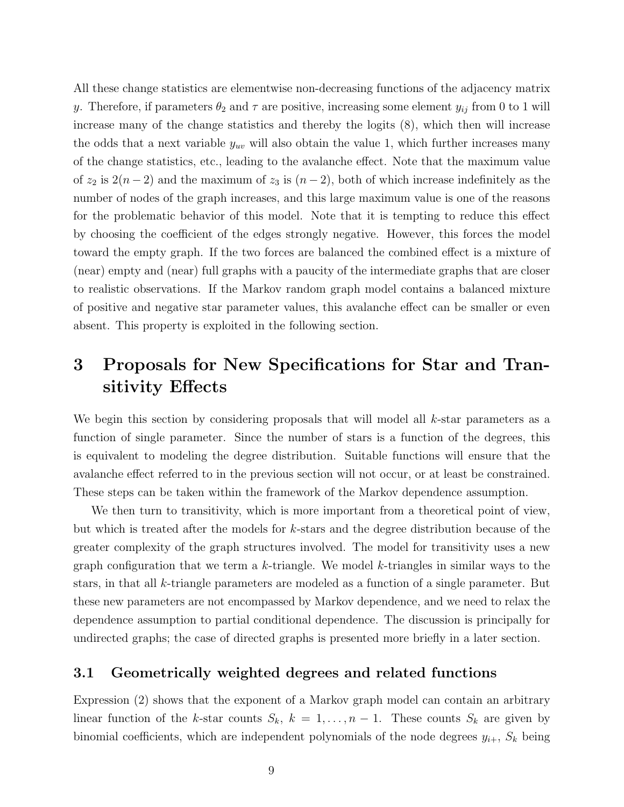All these change statistics are elementwise non-decreasing functions of the adjacency matrix y. Therefore, if parameters  $\theta_2$  and  $\tau$  are positive, increasing some element  $y_{ij}$  from 0 to 1 will increase many of the change statistics and thereby the logits (8), which then will increase the odds that a next variable  $y_{uv}$  will also obtain the value 1, which further increases many of the change statistics, etc., leading to the avalanche effect. Note that the maximum value of  $z_2$  is  $2(n-2)$  and the maximum of  $z_3$  is  $(n-2)$ , both of which increase indefinitely as the number of nodes of the graph increases, and this large maximum value is one of the reasons for the problematic behavior of this model. Note that it is tempting to reduce this effect by choosing the coefficient of the edges strongly negative. However, this forces the model toward the empty graph. If the two forces are balanced the combined effect is a mixture of (near) empty and (near) full graphs with a paucity of the intermediate graphs that are closer to realistic observations. If the Markov random graph model contains a balanced mixture of positive and negative star parameter values, this avalanche effect can be smaller or even absent. This property is exploited in the following section.

# 3 Proposals for New Specifications for Star and Transitivity Effects

We begin this section by considering proposals that will model all k-star parameters as a function of single parameter. Since the number of stars is a function of the degrees, this is equivalent to modeling the degree distribution. Suitable functions will ensure that the avalanche effect referred to in the previous section will not occur, or at least be constrained. These steps can be taken within the framework of the Markov dependence assumption.

We then turn to transitivity, which is more important from a theoretical point of view, but which is treated after the models for k-stars and the degree distribution because of the greater complexity of the graph structures involved. The model for transitivity uses a new graph configuration that we term a k-triangle. We model k-triangles in similar ways to the stars, in that all  $k$ -triangle parameters are modeled as a function of a single parameter. But these new parameters are not encompassed by Markov dependence, and we need to relax the dependence assumption to partial conditional dependence. The discussion is principally for undirected graphs; the case of directed graphs is presented more briefly in a later section.

#### 3.1 Geometrically weighted degrees and related functions

Expression (2) shows that the exponent of a Markov graph model can contain an arbitrary linear function of the k-star counts  $S_k$ ,  $k = 1, ..., n - 1$ . These counts  $S_k$  are given by binomial coefficients, which are independent polynomials of the node degrees  $y_{i+}$ ,  $S_k$  being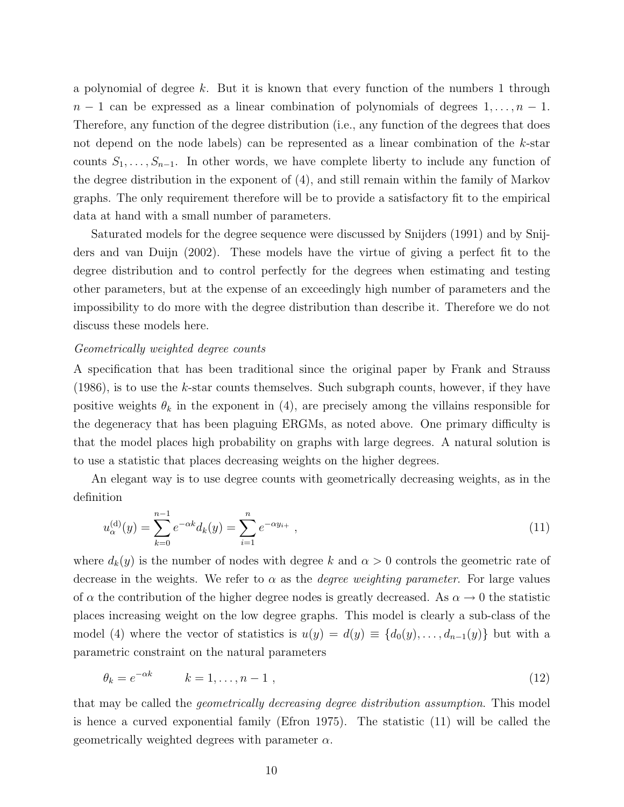a polynomial of degree  $k$ . But it is known that every function of the numbers 1 through  $n-1$  can be expressed as a linear combination of polynomials of degrees  $1, \ldots, n-1$ . Therefore, any function of the degree distribution (i.e., any function of the degrees that does not depend on the node labels) can be represented as a linear combination of the  $k$ -star counts  $S_1, \ldots, S_{n-1}$ . In other words, we have complete liberty to include any function of the degree distribution in the exponent of (4), and still remain within the family of Markov graphs. The only requirement therefore will be to provide a satisfactory fit to the empirical data at hand with a small number of parameters.

Saturated models for the degree sequence were discussed by Snijders (1991) and by Snijders and van Duijn (2002). These models have the virtue of giving a perfect fit to the degree distribution and to control perfectly for the degrees when estimating and testing other parameters, but at the expense of an exceedingly high number of parameters and the impossibility to do more with the degree distribution than describe it. Therefore we do not discuss these models here.

#### Geometrically weighted degree counts

A specification that has been traditional since the original paper by Frank and Strauss  $(1986)$ , is to use the k-star counts themselves. Such subgraph counts, however, if they have positive weights  $\theta_k$  in the exponent in (4), are precisely among the villains responsible for the degeneracy that has been plaguing ERGMs, as noted above. One primary difficulty is that the model places high probability on graphs with large degrees. A natural solution is to use a statistic that places decreasing weights on the higher degrees.

An elegant way is to use degree counts with geometrically decreasing weights, as in the definition

$$
u_{\alpha}^{(\mathbf{d})}(y) = \sum_{k=0}^{n-1} e^{-\alpha k} d_k(y) = \sum_{i=1}^{n} e^{-\alpha y_{i+}}, \qquad (11)
$$

where  $d_k(y)$  is the number of nodes with degree k and  $\alpha > 0$  controls the geometric rate of decrease in the weights. We refer to  $\alpha$  as the *degree weighting parameter*. For large values of  $\alpha$  the contribution of the higher degree nodes is greatly decreased. As  $\alpha \to 0$  the statistic places increasing weight on the low degree graphs. This model is clearly a sub-class of the model (4) where the vector of statistics is  $u(y) = d(y) \equiv \{d_0(y), \ldots, d_{n-1}(y)\}\$  but with a parametric constraint on the natural parameters

$$
\theta_k = e^{-\alpha k} \qquad k = 1, \dots, n-1 \tag{12}
$$

that may be called the geometrically decreasing degree distribution assumption. This model is hence a curved exponential family (Efron 1975). The statistic (11) will be called the geometrically weighted degrees with parameter  $\alpha$ .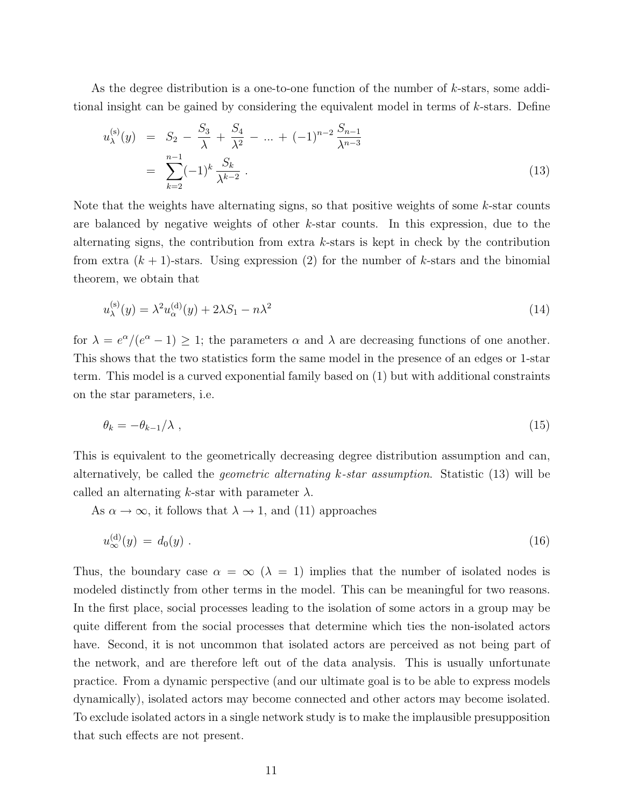As the degree distribution is a one-to-one function of the number of k-stars, some additional insight can be gained by considering the equivalent model in terms of  $k$ -stars. Define

$$
u_{\lambda}^{(s)}(y) = S_2 - \frac{S_3}{\lambda} + \frac{S_4}{\lambda^2} - \dots + (-1)^{n-2} \frac{S_{n-1}}{\lambda^{n-3}}
$$
  
= 
$$
\sum_{k=2}^{n-1} (-1)^k \frac{S_k}{\lambda^{k-2}}.
$$
 (13)

Note that the weights have alternating signs, so that positive weights of some k-star counts are balanced by negative weights of other k-star counts. In this expression, due to the alternating signs, the contribution from extra  $k$ -stars is kept in check by the contribution from extra  $(k + 1)$ -stars. Using expression (2) for the number of k-stars and the binomial theorem, we obtain that

$$
u_{\lambda}^{(\rm s)}(y) = \lambda^2 u_{\alpha}^{(\rm d)}(y) + 2\lambda S_1 - n\lambda^2 \tag{14}
$$

for  $\lambda = e^{\alpha}/(e^{\alpha} - 1) \geq 1$ ; the parameters  $\alpha$  and  $\lambda$  are decreasing functions of one another. This shows that the two statistics form the same model in the presence of an edges or 1-star term. This model is a curved exponential family based on (1) but with additional constraints on the star parameters, i.e.

$$
\theta_k = -\theta_{k-1}/\lambda \tag{15}
$$

This is equivalent to the geometrically decreasing degree distribution assumption and can, alternatively, be called the geometric alternating k-star assumption. Statistic (13) will be called an alternating k-star with parameter  $\lambda$ .

As  $\alpha \to \infty$ , it follows that  $\lambda \to 1$ , and (11) approaches

$$
u_{\infty}^{(\mathbf{d})}(y) = d_0(y) \tag{16}
$$

Thus, the boundary case  $\alpha = \infty$  ( $\lambda = 1$ ) implies that the number of isolated nodes is modeled distinctly from other terms in the model. This can be meaningful for two reasons. In the first place, social processes leading to the isolation of some actors in a group may be quite different from the social processes that determine which ties the non-isolated actors have. Second, it is not uncommon that isolated actors are perceived as not being part of the network, and are therefore left out of the data analysis. This is usually unfortunate practice. From a dynamic perspective (and our ultimate goal is to be able to express models dynamically), isolated actors may become connected and other actors may become isolated. To exclude isolated actors in a single network study is to make the implausible presupposition that such effects are not present.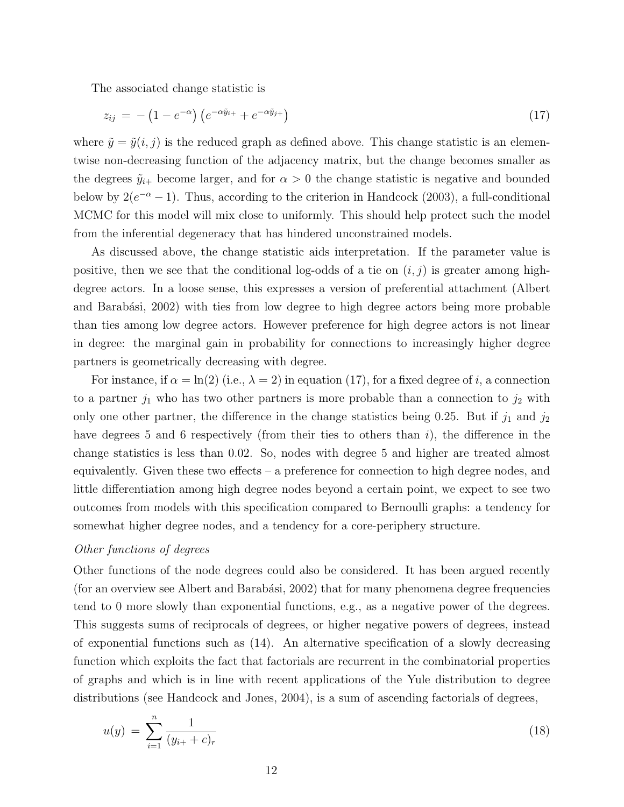The associated change statistic is

$$
z_{ij} = -\left(1 - e^{-\alpha}\right) \left(e^{-\alpha \tilde{y}_{i+}} + e^{-\alpha \tilde{y}_{j+}}\right) \tag{17}
$$

where  $\tilde{y} = \tilde{y}(i, j)$  is the reduced graph as defined above. This change statistic is an elementwise non-decreasing function of the adjacency matrix, but the change becomes smaller as the degrees  $\tilde{y}_{i+}$  become larger, and for  $\alpha > 0$  the change statistic is negative and bounded below by  $2(e^{-\alpha}-1)$ . Thus, according to the criterion in Handcock (2003), a full-conditional MCMC for this model will mix close to uniformly. This should help protect such the model from the inferential degeneracy that has hindered unconstrained models.

As discussed above, the change statistic aids interpretation. If the parameter value is positive, then we see that the conditional log-odds of a tie on  $(i, j)$  is greater among highdegree actors. In a loose sense, this expresses a version of preferential attachment (Albert and Barabási, 2002) with ties from low degree to high degree actors being more probable than ties among low degree actors. However preference for high degree actors is not linear in degree: the marginal gain in probability for connections to increasingly higher degree partners is geometrically decreasing with degree.

For instance, if  $\alpha = \ln(2)$  (i.e.,  $\lambda = 2$ ) in equation (17), for a fixed degree of i, a connection to a partner  $j_1$  who has two other partners is more probable than a connection to  $j_2$  with only one other partner, the difference in the change statistics being 0.25. But if  $j_1$  and  $j_2$ have degrees 5 and 6 respectively (from their ties to others than  $i$ ), the difference in the change statistics is less than 0.02. So, nodes with degree 5 and higher are treated almost equivalently. Given these two effects – a preference for connection to high degree nodes, and little differentiation among high degree nodes beyond a certain point, we expect to see two outcomes from models with this specification compared to Bernoulli graphs: a tendency for somewhat higher degree nodes, and a tendency for a core-periphery structure.

#### Other functions of degrees

Other functions of the node degrees could also be considered. It has been argued recently (for an overview see Albert and Barabási,  $2002$ ) that for many phenomena degree frequencies tend to 0 more slowly than exponential functions, e.g., as a negative power of the degrees. This suggests sums of reciprocals of degrees, or higher negative powers of degrees, instead of exponential functions such as (14). An alternative specification of a slowly decreasing function which exploits the fact that factorials are recurrent in the combinatorial properties of graphs and which is in line with recent applications of the Yule distribution to degree distributions (see Handcock and Jones, 2004), is a sum of ascending factorials of degrees,

$$
u(y) = \sum_{i=1}^{n} \frac{1}{(y_{i+} + c)_r}
$$
\n(18)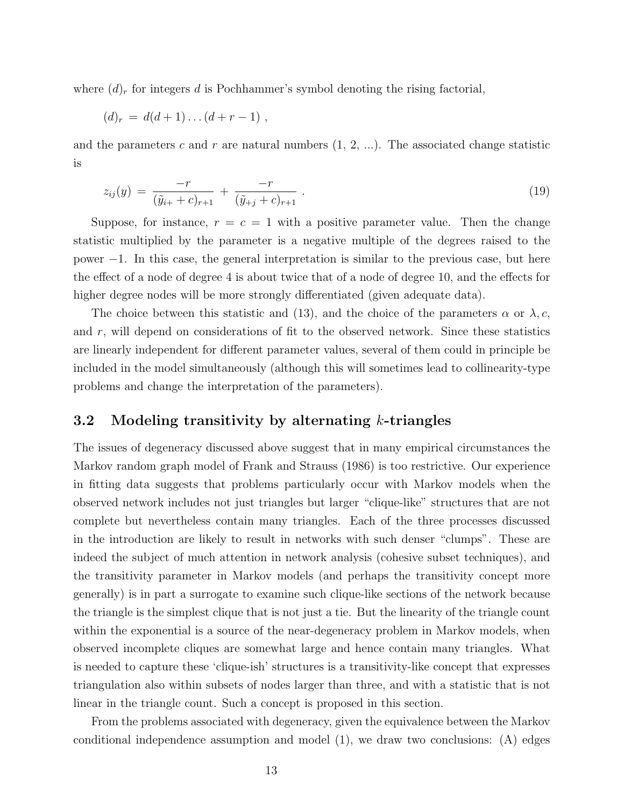where  $(d)_r$  for integers d is Pochhammer's symbol denoting the rising factorial,

$$
(d)_r = d(d+1)\dots(d+r-1) ,
$$

and the parameters c and r are natural numbers  $(1, 2, ...)$ . The associated change statistic is

$$
z_{ij}(y) = \frac{-r}{(\tilde{y}_{i+} + c)_{r+1}} + \frac{-r}{(\tilde{y}_{+j} + c)_{r+1}}.
$$
\n(19)

Suppose, for instance,  $r = c = 1$  with a positive parameter value. Then the change statistic multiplied by the parameter is a negative multiple of the degrees raised to the power −1. In this case, the general interpretation is similar to the previous case, but here the effect of a node of degree 4 is about twice that of a node of degree 10, and the effects for higher degree nodes will be more strongly differentiated (given adequate data).

The choice between this statistic and (13), and the choice of the parameters  $\alpha$  or  $\lambda, c$ , and  $r$ , will depend on considerations of fit to the observed network. Since these statistics are linearly independent for different parameter values, several of them could in principle be included in the model simultaneously (although this will sometimes lead to collinearity-type problems and change the interpretation of the parameters).

#### 3.2 Modeling transitivity by alternating  $k$ -triangles

The issues of degeneracy discussed above suggest that in many empirical circumstances the Markov random graph model of Frank and Strauss (1986) is too restrictive. Our experience in fitting data suggests that problems particularly occur with Markov models when the observed network includes not just triangles but larger "clique-like" structures that are not complete but nevertheless contain many triangles. Each of the three processes discussed in the introduction are likely to result in networks with such denser "clumps". These are indeed the subject of much attention in network analysis (cohesive subset techniques), and the transitivity parameter in Markov models (and perhaps the transitivity concept more generally) is in part a surrogate to examine such clique-like sections of the network because the triangle is the simplest clique that is not just a tie. But the linearity of the triangle count within the exponential is a source of the near-degeneracy problem in Markov models, when observed incomplete cliques are somewhat large and hence contain many triangles. What is needed to capture these 'clique-ish' structures is a transitivity-like concept that expresses triangulation also within subsets of nodes larger than three, and with a statistic that is not linear in the triangle count. Such a concept is proposed in this section.

From the problems associated with degeneracy, given the equivalence between the Markov conditional independence assumption and model (1), we draw two conclusions: (A) edges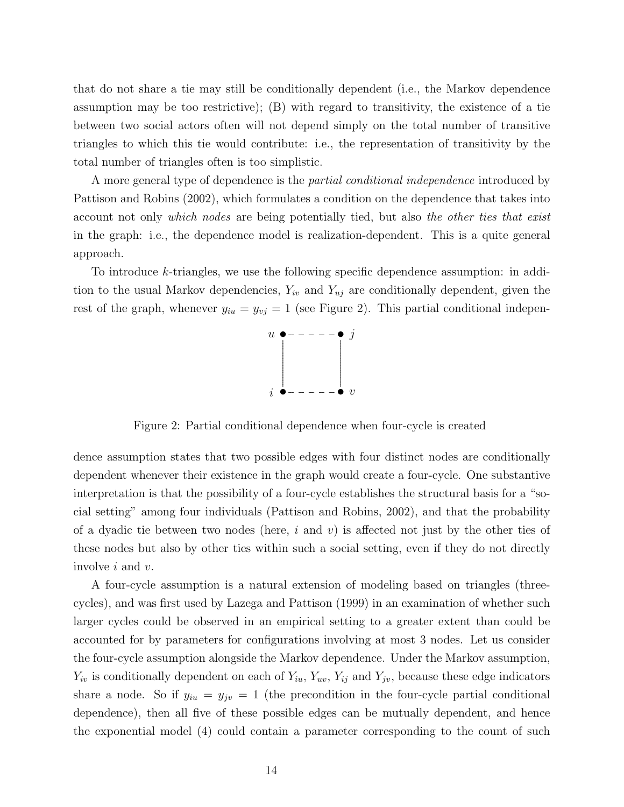that do not share a tie may still be conditionally dependent (i.e., the Markov dependence assumption may be too restrictive); (B) with regard to transitivity, the existence of a tie between two social actors often will not depend simply on the total number of transitive triangles to which this tie would contribute: i.e., the representation of transitivity by the total number of triangles often is too simplistic.

A more general type of dependence is the *partial conditional independence* introduced by Pattison and Robins (2002), which formulates a condition on the dependence that takes into account not only which nodes are being potentially tied, but also the other ties that exist in the graph: i.e., the dependence model is realization-dependent. This is a quite general approach.

To introduce k-triangles, we use the following specific dependence assumption: in addition to the usual Markov dependencies,  $Y_{iv}$  and  $Y_{uj}$  are conditionally dependent, given the rest of the graph, whenever  $y_{iu} = y_{vj} = 1$  (see Figure 2). This partial conditional indepen-



Figure 2: Partial conditional dependence when four-cycle is created

dence assumption states that two possible edges with four distinct nodes are conditionally dependent whenever their existence in the graph would create a four-cycle. One substantive interpretation is that the possibility of a four-cycle establishes the structural basis for a "social setting" among four individuals (Pattison and Robins, 2002), and that the probability of a dyadic tie between two nodes (here, i and v) is affected not just by the other ties of these nodes but also by other ties within such a social setting, even if they do not directly involve i and v.

A four-cycle assumption is a natural extension of modeling based on triangles (threecycles), and was first used by Lazega and Pattison (1999) in an examination of whether such larger cycles could be observed in an empirical setting to a greater extent than could be accounted for by parameters for configurations involving at most 3 nodes. Let us consider the four-cycle assumption alongside the Markov dependence. Under the Markov assumption,  $Y_{iv}$  is conditionally dependent on each of  $Y_{iu}$ ,  $Y_{uv}$ ,  $Y_{ij}$  and  $Y_{jv}$ , because these edge indicators share a node. So if  $y_{iu} = y_{jv} = 1$  (the precondition in the four-cycle partial conditional dependence), then all five of these possible edges can be mutually dependent, and hence the exponential model (4) could contain a parameter corresponding to the count of such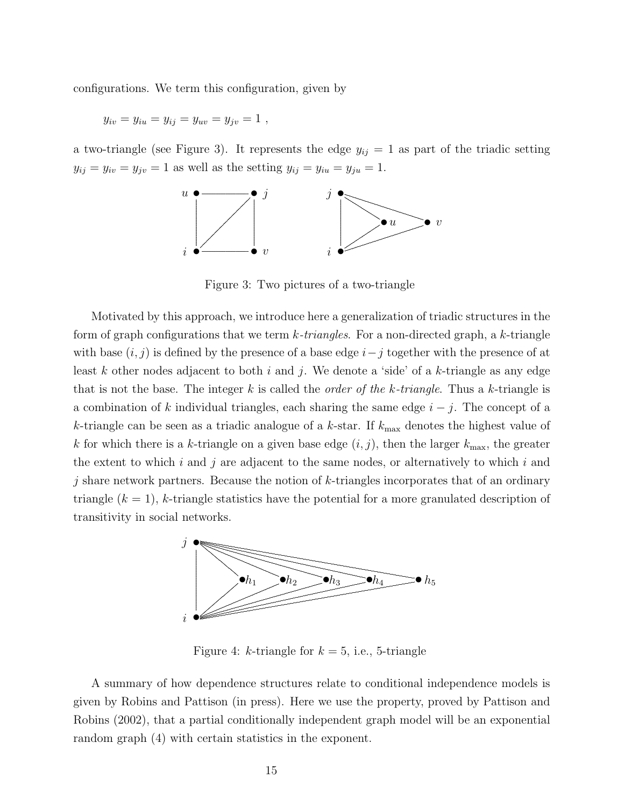configurations. We term this configuration, given by

$$
y_{iv} = y_{iu} = y_{ij} = y_{uv} = y_{jv} = 1,
$$

a two-triangle (see Figure 3). It represents the edge  $y_{ij} = 1$  as part of the triadic setting  $y_{ij} = y_{iv} = y_{jv} = 1$  as well as the setting  $y_{ij} = y_{iu} = y_{ju} = 1$ .



Figure 3: Two pictures of a two-triangle

Motivated by this approach, we introduce here a generalization of triadic structures in the form of graph configurations that we term  $k\text{-}triangles$ . For a non-directed graph, a k-triangle with base  $(i, j)$  is defined by the presence of a base edge  $i - j$  together with the presence of at least k other nodes adjacent to both i and j. We denote a 'side' of a k-triangle as any edge that is not the base. The integer k is called the *order of the k-triangle*. Thus a k-triangle is a combination of k individual triangles, each sharing the same edge  $i - j$ . The concept of a k-triangle can be seen as a triadic analogue of a k-star. If  $k_{\text{max}}$  denotes the highest value of k for which there is a k-triangle on a given base edge  $(i, j)$ , then the larger  $k_{\text{max}}$ , the greater the extent to which  $i$  and  $j$  are adjacent to the same nodes, or alternatively to which  $i$  and j share network partners. Because the notion of  $k$ -triangles incorporates that of an ordinary triangle  $(k = 1)$ , k-triangle statistics have the potential for a more granulated description of transitivity in social networks.



Figure 4: k-triangle for  $k = 5$ , i.e., 5-triangle

A summary of how dependence structures relate to conditional independence models is given by Robins and Pattison (in press). Here we use the property, proved by Pattison and Robins (2002), that a partial conditionally independent graph model will be an exponential random graph  $(4)$  with certain statistics in the exponent.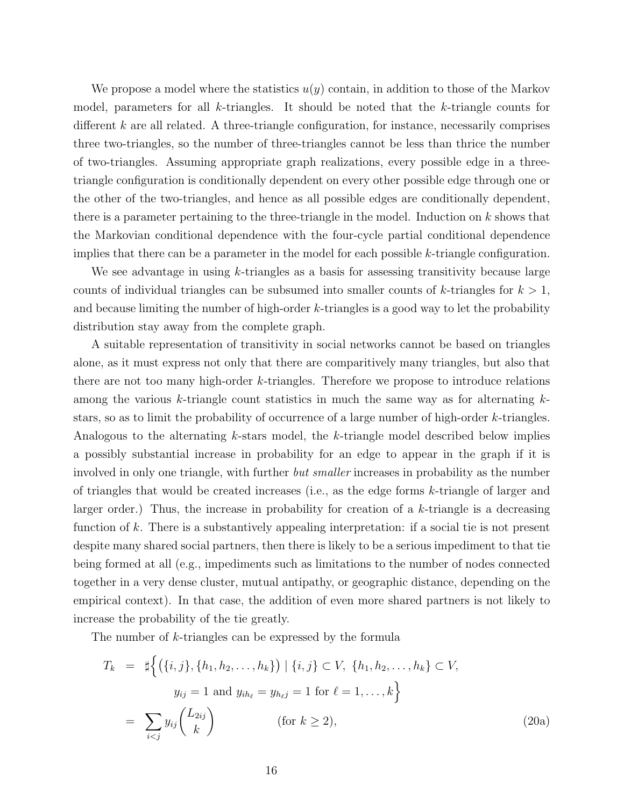We propose a model where the statistics  $u(y)$  contain, in addition to those of the Markov model, parameters for all k-triangles. It should be noted that the k-triangle counts for different  $k$  are all related. A three-triangle configuration, for instance, necessarily comprises three two-triangles, so the number of three-triangles cannot be less than thrice the number of two-triangles. Assuming appropriate graph realizations, every possible edge in a threetriangle configuration is conditionally dependent on every other possible edge through one or the other of the two-triangles, and hence as all possible edges are conditionally dependent, there is a parameter pertaining to the three-triangle in the model. Induction on k shows that the Markovian conditional dependence with the four-cycle partial conditional dependence implies that there can be a parameter in the model for each possible  $k$ -triangle configuration.

We see advantage in using  $k$ -triangles as a basis for assessing transitivity because large counts of individual triangles can be subsumed into smaller counts of k-triangles for  $k > 1$ , and because limiting the number of high-order k-triangles is a good way to let the probability distribution stay away from the complete graph.

A suitable representation of transitivity in social networks cannot be based on triangles alone, as it must express not only that there are comparitively many triangles, but also that there are not too many high-order k-triangles. Therefore we propose to introduce relations among the various  $k$ -triangle count statistics in much the same way as for alternating  $k$ stars, so as to limit the probability of occurrence of a large number of high-order k-triangles. Analogous to the alternating k-stars model, the k-triangle model described below implies a possibly substantial increase in probability for an edge to appear in the graph if it is involved in only one triangle, with further *but smaller* increases in probability as the number of triangles that would be created increases (i.e., as the edge forms  $k$ -triangle of larger and larger order.) Thus, the increase in probability for creation of a  $k$ -triangle is a decreasing function of k. There is a substantively appealing interpretation: if a social tie is not present despite many shared social partners, then there is likely to be a serious impediment to that tie being formed at all (e.g., impediments such as limitations to the number of nodes connected together in a very dense cluster, mutual antipathy, or geographic distance, depending on the empirical context). In that case, the addition of even more shared partners is not likely to increase the probability of the tie greatly.

The number of k-triangles can be expressed by the formula

$$
T_k = \sharp \left\{ (\{i, j\}, \{h_1, h_2, \dots, h_k\}) \mid \{i, j\} \subset V, \{h_1, h_2, \dots, h_k\} \subset V, \n y_{ij} = 1 \text{ and } y_{ih_\ell} = y_{h_\ell j} = 1 \text{ for } \ell = 1, \dots, k \right\} \n= \sum_{i < j} y_{ij} \binom{L_{2ij}}{k} \qquad \text{(for } k \ge 2),
$$
\n(20a)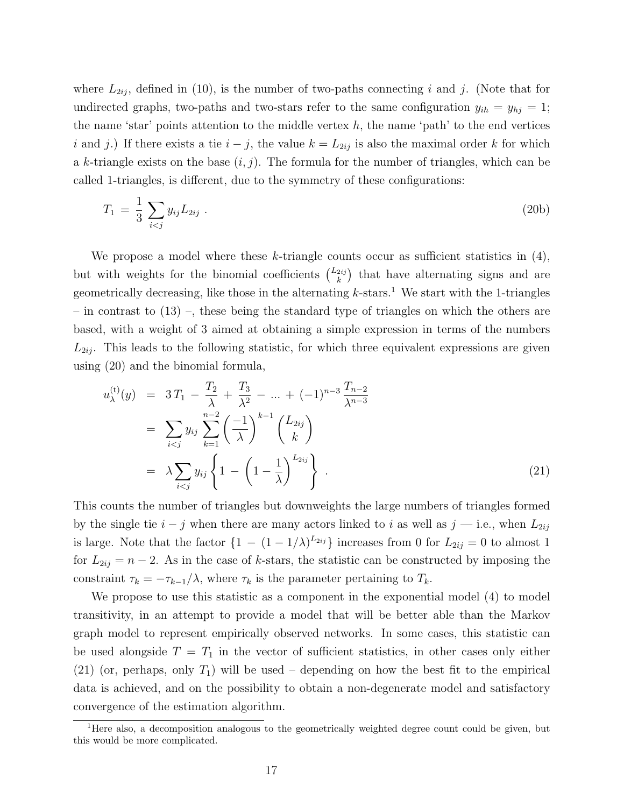where  $L_{2ii}$ , defined in (10), is the number of two-paths connecting i and j. (Note that for undirected graphs, two-paths and two-stars refer to the same configuration  $y_{ih} = y_{hj} = 1$ ; the name 'star' points attention to the middle vertex  $h$ , the name 'path' to the end vertices i and j.) If there exists a tie  $i - j$ , the value  $k = L_{2ij}$  is also the maximal order k for which a k-triangle exists on the base  $(i, j)$ . The formula for the number of triangles, which can be called 1-triangles, is different, due to the symmetry of these configurations:

$$
T_1 = \frac{1}{3} \sum_{i < j} y_{ij} L_{2ij} \tag{20b}
$$

We propose a model where these k-triangle counts occur as sufficient statistics in  $(4)$ , but with weights for the binomial coefficients  $\binom{L_{2ij}}{k}$  $\binom{2ij}{k}$  that have alternating signs and are geometrically decreasing, like those in the alternating  $k$ -stars.<sup>1</sup> We start with the 1-triangles – in contrast to  $(13)$  –, these being the standard type of triangles on which the others are based, with a weight of 3 aimed at obtaining a simple expression in terms of the numbers  $L_{2ij}$ . This leads to the following statistic, for which three equivalent expressions are given using (20) and the binomial formula,

$$
u_{\lambda}^{(t)}(y) = 3T_1 - \frac{T_2}{\lambda} + \frac{T_3}{\lambda^2} - \dots + (-1)^{n-3} \frac{T_{n-2}}{\lambda^{n-3}}
$$
  
= 
$$
\sum_{i < j} y_{ij} \sum_{k=1}^{n-2} \left(\frac{-1}{\lambda}\right)^{k-1} \binom{L_{2ij}}{k}
$$
  
= 
$$
\lambda \sum_{i < j} y_{ij} \left\{ 1 - \left(1 - \frac{1}{\lambda}\right)^{L_{2ij}} \right\} .
$$
 (21)

This counts the number of triangles but downweights the large numbers of triangles formed by the single tie  $i - j$  when there are many actors linked to i as well as  $j$  — i.e., when  $L_{2ij}$ is large. Note that the factor  $\{1 - (1 - 1/\lambda)^{L_{2ij}}\}$  increases from 0 for  $L_{2ij} = 0$  to almost 1 for  $L_{2ij} = n-2$ . As in the case of k-stars, the statistic can be constructed by imposing the constraint  $\tau_k = -\tau_{k-1}/\lambda$ , where  $\tau_k$  is the parameter pertaining to  $T_k$ .

We propose to use this statistic as a component in the exponential model (4) to model transitivity, in an attempt to provide a model that will be better able than the Markov graph model to represent empirically observed networks. In some cases, this statistic can be used alongside  $T = T_1$  in the vector of sufficient statistics, in other cases only either (21) (or, perhaps, only  $T_1$ ) will be used – depending on how the best fit to the empirical data is achieved, and on the possibility to obtain a non-degenerate model and satisfactory convergence of the estimation algorithm.

<sup>&</sup>lt;sup>1</sup>Here also, a decomposition analogous to the geometrically weighted degree count could be given, but this would be more complicated.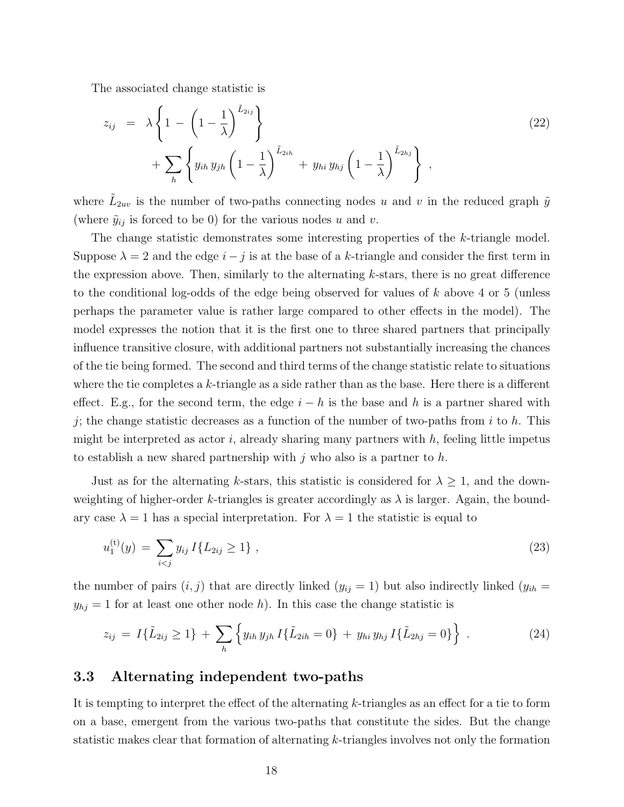The associated change statistic is

$$
z_{ij} = \lambda \left\{ 1 - \left( 1 - \frac{1}{\lambda} \right)^{\tilde{L}_{2ij}} \right\} + \sum_{h} \left\{ y_{ih} y_{jh} \left( 1 - \frac{1}{\lambda} \right)^{\tilde{L}_{2ih}} + y_{hi} y_{hj} \left( 1 - \frac{1}{\lambda} \right)^{\tilde{L}_{2hj}} \right\},
$$
\n
$$
(22)
$$

where  $\tilde{L}_{2uv}$  is the number of two-paths connecting nodes u and v in the reduced graph  $\tilde{y}$ (where  $\tilde{y}_{ij}$  is forced to be 0) for the various nodes u and v.

The change statistic demonstrates some interesting properties of the k-triangle model. Suppose  $\lambda = 2$  and the edge  $i - j$  is at the base of a k-triangle and consider the first term in the expression above. Then, similarly to the alternating  $k$ -stars, there is no great difference to the conditional log-odds of the edge being observed for values of k above 4 or 5 (unless perhaps the parameter value is rather large compared to other effects in the model). The model expresses the notion that it is the first one to three shared partners that principally influence transitive closure, with additional partners not substantially increasing the chances of the tie being formed. The second and third terms of the change statistic relate to situations where the tie completes a  $k$ -triangle as a side rather than as the base. Here there is a different effect. E.g., for the second term, the edge  $i - h$  is the base and h is a partner shared with j; the change statistic decreases as a function of the number of two-paths from i to h. This might be interpreted as actor i, already sharing many partners with  $h$ , feeling little impetus to establish a new shared partnership with  $j$  who also is a partner to  $h$ .

Just as for the alternating k-stars, this statistic is considered for  $\lambda \geq 1$ , and the downweighting of higher-order k-triangles is greater accordingly as  $\lambda$  is larger. Again, the boundary case  $\lambda = 1$  has a special interpretation. For  $\lambda = 1$  the statistic is equal to

$$
u_1^{(t)}(y) = \sum_{i < j} y_{ij} I\{L_{2ij} \ge 1\} \tag{23}
$$

the number of pairs  $(i, j)$  that are directly linked  $(y_{ij} = 1)$  but also indirectly linked  $(y_{ih} =$  $y_{hj} = 1$  for at least one other node h). In this case the change statistic is

$$
z_{ij} = I\{\tilde{L}_{2ij} \ge 1\} + \sum_{h} \left\{ y_{ih} y_{jh} I\{\tilde{L}_{2ih} = 0\} + y_{hi} y_{hj} I\{\tilde{L}_{2hj} = 0\} \right\}.
$$
 (24)

#### 3.3 Alternating independent two-paths

It is tempting to interpret the effect of the alternating k-triangles as an effect for a tie to form on a base, emergent from the various two-paths that constitute the sides. But the change statistic makes clear that formation of alternating k-triangles involves not only the formation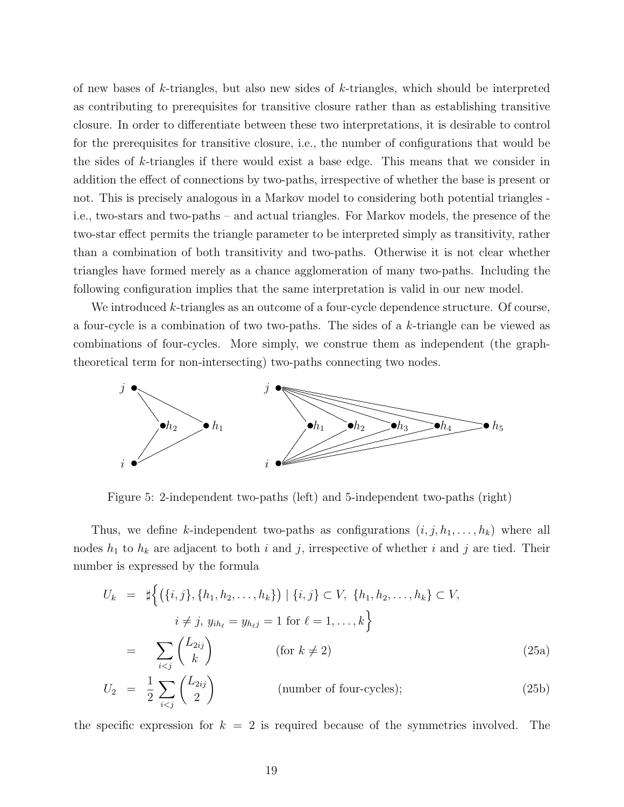of new bases of  $k$ -triangles, but also new sides of  $k$ -triangles, which should be interpreted as contributing to prerequisites for transitive closure rather than as establishing transitive closure. In order to differentiate between these two interpretations, it is desirable to control for the prerequisites for transitive closure, i.e., the number of configurations that would be the sides of k-triangles if there would exist a base edge. This means that we consider in addition the effect of connections by two-paths, irrespective of whether the base is present or not. This is precisely analogous in a Markov model to considering both potential triangles i.e., two-stars and two-paths – and actual triangles. For Markov models, the presence of the two-star effect permits the triangle parameter to be interpreted simply as transitivity, rather than a combination of both transitivity and two-paths. Otherwise it is not clear whether triangles have formed merely as a chance agglomeration of many two-paths. Including the following configuration implies that the same interpretation is valid in our new model.

We introduced k-triangles as an outcome of a four-cycle dependence structure. Of course, a four-cycle is a combination of two two-paths. The sides of a k-triangle can be viewed as combinations of four-cycles. More simply, we construe them as independent (the graphtheoretical term for non-intersecting) two-paths connecting two nodes.



Figure 5: 2-independent two-paths (left) and 5-independent two-paths (right)

Thus, we define k-independent two-paths as configurations  $(i, j, h_1, \ldots, h_k)$  where all nodes  $h_1$  to  $h_k$  are adjacent to both i and j, irrespective of whether i and j are tied. Their number is expressed by the formula

$$
U_k = \sharp \left\{ (\{i, j\}, \{h_1, h_2, \dots, h_k\}) \mid \{i, j\} \subset V, \{h_1, h_2, \dots, h_k\} \subset V, i \neq j, y_{ih_\ell} = y_{h_\ell j} = 1 \text{ for } \ell = 1, \dots, k \right\}
$$
  

$$
= \sum_{i < j} {L_{2ij} \choose k} \qquad \text{(for } k \neq 2) \tag{25a}
$$
  

$$
U_2 = \frac{1}{2} \sum_{i < j} {L_{2ij} \choose 2} \qquad \text{(number of four-cycles)}; \tag{25b}
$$

the specific expression for  $k = 2$  is required because of the symmetries involved. The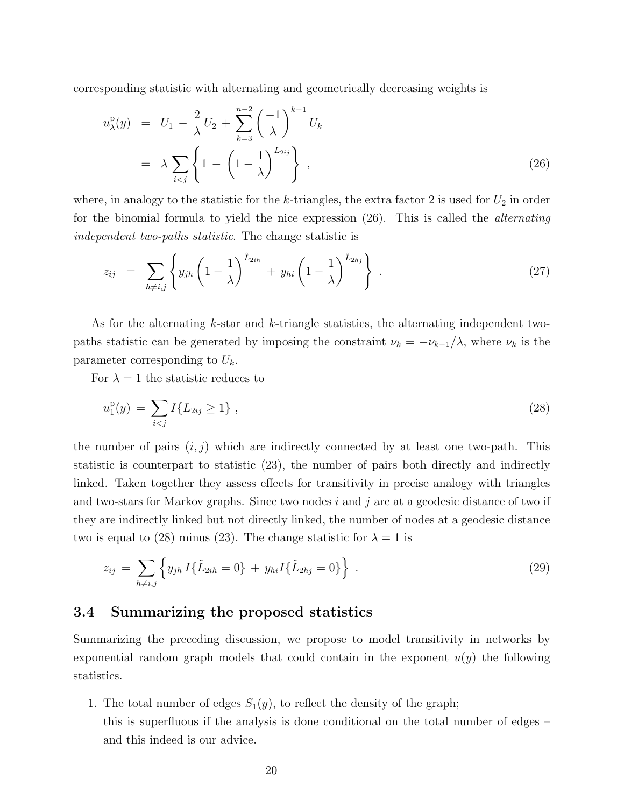corresponding statistic with alternating and geometrically decreasing weights is

$$
u_{\lambda}^{p}(y) = U_{1} - \frac{2}{\lambda} U_{2} + \sum_{k=3}^{n-2} \left(\frac{-1}{\lambda}\right)^{k-1} U_{k}
$$
  
=  $\lambda \sum_{i < j} \left\{ 1 - \left(1 - \frac{1}{\lambda}\right)^{L_{2ij}} \right\},$  (26)

where, in analogy to the statistic for the k-triangles, the extra factor 2 is used for  $U_2$  in order for the binomial formula to yield the nice expression (26). This is called the alternating independent two-paths statistic. The change statistic is

$$
z_{ij} = \sum_{h \neq i,j} \left\{ y_{jh} \left( 1 - \frac{1}{\lambda} \right)^{\tilde{L}_{2ih}} + y_{hi} \left( 1 - \frac{1}{\lambda} \right)^{\tilde{L}_{2hj}} \right\} . \tag{27}
$$

As for the alternating k-star and k-triangle statistics, the alternating independent twopaths statistic can be generated by imposing the constraint  $\nu_k = -\nu_{k-1}/\lambda$ , where  $\nu_k$  is the parameter corresponding to  $U_k$ .

For  $\lambda = 1$  the statistic reduces to

$$
u_1^{\mathcal{P}}(y) = \sum_{i < j} I\{L_{2ij} \ge 1\} \tag{28}
$$

the number of pairs  $(i, j)$  which are indirectly connected by at least one two-path. This statistic is counterpart to statistic (23), the number of pairs both directly and indirectly linked. Taken together they assess effects for transitivity in precise analogy with triangles and two-stars for Markov graphs. Since two nodes i and j are at a geodesic distance of two if they are indirectly linked but not directly linked, the number of nodes at a geodesic distance two is equal to (28) minus (23). The change statistic for  $\lambda = 1$  is

$$
z_{ij} = \sum_{h \neq i,j} \left\{ y_{jh} I\{\tilde{L}_{2ih} = 0\} + y_{hi} I\{\tilde{L}_{2hj} = 0\} \right\} . \tag{29}
$$

### 3.4 Summarizing the proposed statistics

Summarizing the preceding discussion, we propose to model transitivity in networks by exponential random graph models that could contain in the exponent  $u(y)$  the following statistics.

1. The total number of edges  $S_1(y)$ , to reflect the density of the graph; this is superfluous if the analysis is done conditional on the total number of edges – and this indeed is our advice.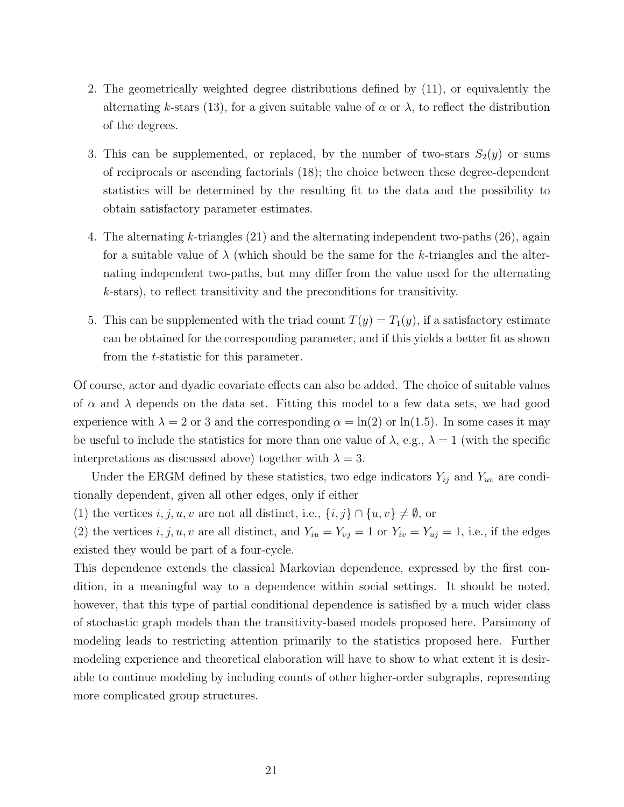- 2. The geometrically weighted degree distributions defined by (11), or equivalently the alternating k-stars (13), for a given suitable value of  $\alpha$  or  $\lambda$ , to reflect the distribution of the degrees.
- 3. This can be supplemented, or replaced, by the number of two-stars  $S_2(y)$  or sums of reciprocals or ascending factorials (18); the choice between these degree-dependent statistics will be determined by the resulting fit to the data and the possibility to obtain satisfactory parameter estimates.
- 4. The alternating k-triangles (21) and the alternating independent two-paths (26), again for a suitable value of  $\lambda$  (which should be the same for the k-triangles and the alternating independent two-paths, but may differ from the value used for the alternating k-stars), to reflect transitivity and the preconditions for transitivity.
- 5. This can be supplemented with the triad count  $T(y) = T_1(y)$ , if a satisfactory estimate can be obtained for the corresponding parameter, and if this yields a better fit as shown from the t-statistic for this parameter.

Of course, actor and dyadic covariate effects can also be added. The choice of suitable values of  $\alpha$  and  $\lambda$  depends on the data set. Fitting this model to a few data sets, we had good experience with  $\lambda = 2$  or 3 and the corresponding  $\alpha = \ln(2)$  or  $\ln(1.5)$ . In some cases it may be useful to include the statistics for more than one value of  $\lambda$ , e.g.,  $\lambda = 1$  (with the specific interpretations as discussed above) together with  $\lambda = 3$ .

Under the ERGM defined by these statistics, two edge indicators  $Y_{ij}$  and  $Y_{uv}$  are conditionally dependent, given all other edges, only if either

(1) the vertices  $i, j, u, v$  are not all distinct, i.e.,  $\{i, j\} \cap \{u, v\} \neq \emptyset$ , or

(2) the vertices  $i, j, u, v$  are all distinct, and  $Y_{iu} = Y_{vj} = 1$  or  $Y_{iv} = Y_{uj} = 1$ , i.e., if the edges existed they would be part of a four-cycle.

This dependence extends the classical Markovian dependence, expressed by the first condition, in a meaningful way to a dependence within social settings. It should be noted, however, that this type of partial conditional dependence is satisfied by a much wider class of stochastic graph models than the transitivity-based models proposed here. Parsimony of modeling leads to restricting attention primarily to the statistics proposed here. Further modeling experience and theoretical elaboration will have to show to what extent it is desirable to continue modeling by including counts of other higher-order subgraphs, representing more complicated group structures.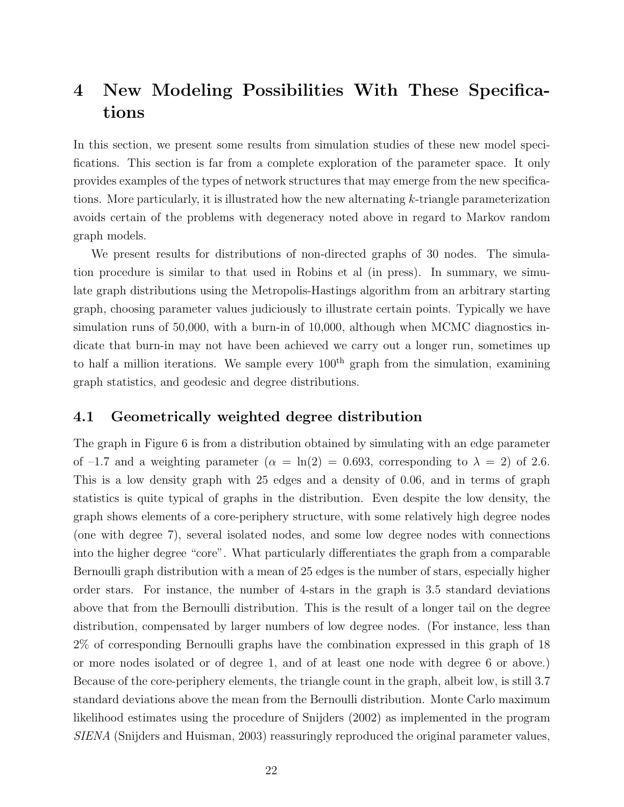# 4 New Modeling Possibilities With These Specifications

In this section, we present some results from simulation studies of these new model specifications. This section is far from a complete exploration of the parameter space. It only provides examples of the types of network structures that may emerge from the new specifications. More particularly, it is illustrated how the new alternating k-triangle parameterization avoids certain of the problems with degeneracy noted above in regard to Markov random graph models.

We present results for distributions of non-directed graphs of 30 nodes. The simulation procedure is similar to that used in Robins et al (in press). In summary, we simulate graph distributions using the Metropolis-Hastings algorithm from an arbitrary starting graph, choosing parameter values judiciously to illustrate certain points. Typically we have simulation runs of 50,000, with a burn-in of 10,000, although when MCMC diagnostics indicate that burn-in may not have been achieved we carry out a longer run, sometimes up to half a million iterations. We sample every  $100<sup>th</sup>$  graph from the simulation, examining graph statistics, and geodesic and degree distributions.

## 4.1 Geometrically weighted degree distribution

The graph in Figure 6 is from a distribution obtained by simulating with an edge parameter of  $-1.7$  and a weighting parameter  $(\alpha = \ln(2) = 0.693$ , corresponding to  $\lambda = 2$ ) of 2.6. This is a low density graph with 25 edges and a density of 0.06, and in terms of graph statistics is quite typical of graphs in the distribution. Even despite the low density, the graph shows elements of a core-periphery structure, with some relatively high degree nodes (one with degree 7), several isolated nodes, and some low degree nodes with connections into the higher degree "core". What particularly differentiates the graph from a comparable Bernoulli graph distribution with a mean of 25 edges is the number of stars, especially higher order stars. For instance, the number of 4-stars in the graph is 3.5 standard deviations above that from the Bernoulli distribution. This is the result of a longer tail on the degree distribution, compensated by larger numbers of low degree nodes. (For instance, less than 2% of corresponding Bernoulli graphs have the combination expressed in this graph of 18 or more nodes isolated or of degree 1, and of at least one node with degree 6 or above.) Because of the core-periphery elements, the triangle count in the graph, albeit low, is still 3.7 standard deviations above the mean from the Bernoulli distribution. Monte Carlo maximum likelihood estimates using the procedure of Snijders (2002) as implemented in the program SIENA (Snijders and Huisman, 2003) reassuringly reproduced the original parameter values,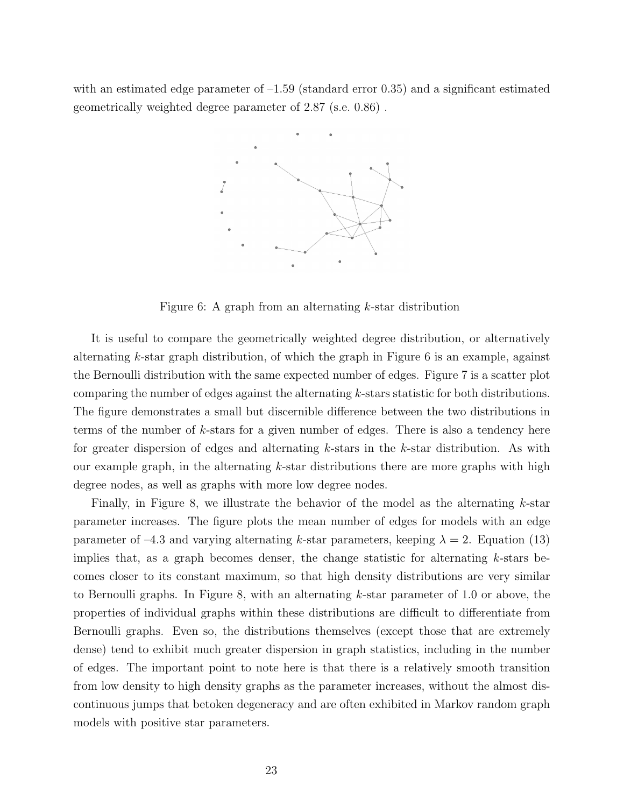with an estimated edge parameter of  $-1.59$  (standard error 0.35) and a significant estimated geometrically weighted degree parameter of 2.87 (s.e. 0.86) .



Figure 6: A graph from an alternating  $k$ -star distribution

It is useful to compare the geometrically weighted degree distribution, or alternatively alternating k-star graph distribution, of which the graph in Figure 6 is an example, against the Bernoulli distribution with the same expected number of edges. Figure 7 is a scatter plot comparing the number of edges against the alternating k-stars statistic for both distributions. The figure demonstrates a small but discernible difference between the two distributions in terms of the number of  $k$ -stars for a given number of edges. There is also a tendency here for greater dispersion of edges and alternating k-stars in the k-star distribution. As with our example graph, in the alternating  $k$ -star distributions there are more graphs with high degree nodes, as well as graphs with more low degree nodes.

Finally, in Figure 8, we illustrate the behavior of the model as the alternating  $k$ -star parameter increases. The figure plots the mean number of edges for models with an edge parameter of –4.3 and varying alternating k-star parameters, keeping  $\lambda = 2$ . Equation (13) implies that, as a graph becomes denser, the change statistic for alternating k-stars becomes closer to its constant maximum, so that high density distributions are very similar to Bernoulli graphs. In Figure 8, with an alternating k-star parameter of 1.0 or above, the properties of individual graphs within these distributions are difficult to differentiate from Bernoulli graphs. Even so, the distributions themselves (except those that are extremely dense) tend to exhibit much greater dispersion in graph statistics, including in the number of edges. The important point to note here is that there is a relatively smooth transition from low density to high density graphs as the parameter increases, without the almost discontinuous jumps that betoken degeneracy and are often exhibited in Markov random graph models with positive star parameters.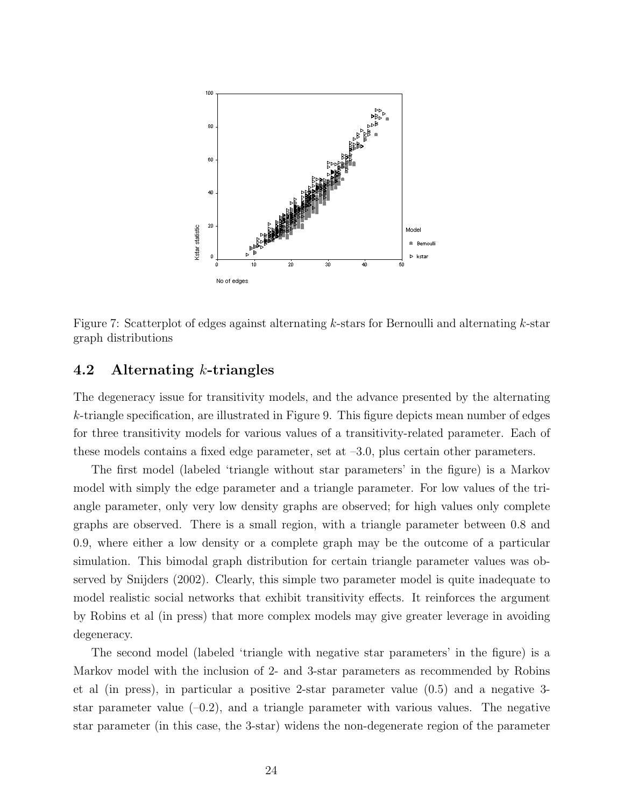

Figure 7: Scatterplot of edges against alternating  $k$ -stars for Bernoulli and alternating  $k$ -star graph distributions

## 4.2 Alternating k-triangles

The degeneracy issue for transitivity models, and the advance presented by the alternating  $k$ -triangle specification, are illustrated in Figure 9. This figure depicts mean number of edges for three transitivity models for various values of a transitivity-related parameter. Each of these models contains a fixed edge parameter, set at  $-3.0$ , plus certain other parameters.

The first model (labeled 'triangle without star parameters' in the figure) is a Markov model with simply the edge parameter and a triangle parameter. For low values of the triangle parameter, only very low density graphs are observed; for high values only complete graphs are observed. There is a small region, with a triangle parameter between 0.8 and 0.9, where either a low density or a complete graph may be the outcome of a particular simulation. This bimodal graph distribution for certain triangle parameter values was observed by Snijders (2002). Clearly, this simple two parameter model is quite inadequate to model realistic social networks that exhibit transitivity effects. It reinforces the argument by Robins et al (in press) that more complex models may give greater leverage in avoiding degeneracy.

The second model (labeled 'triangle with negative star parameters' in the figure) is a Markov model with the inclusion of 2- and 3-star parameters as recommended by Robins et al (in press), in particular a positive 2-star parameter value (0.5) and a negative 3 star parameter value  $(-0.2)$ , and a triangle parameter with various values. The negative star parameter (in this case, the 3-star) widens the non-degenerate region of the parameter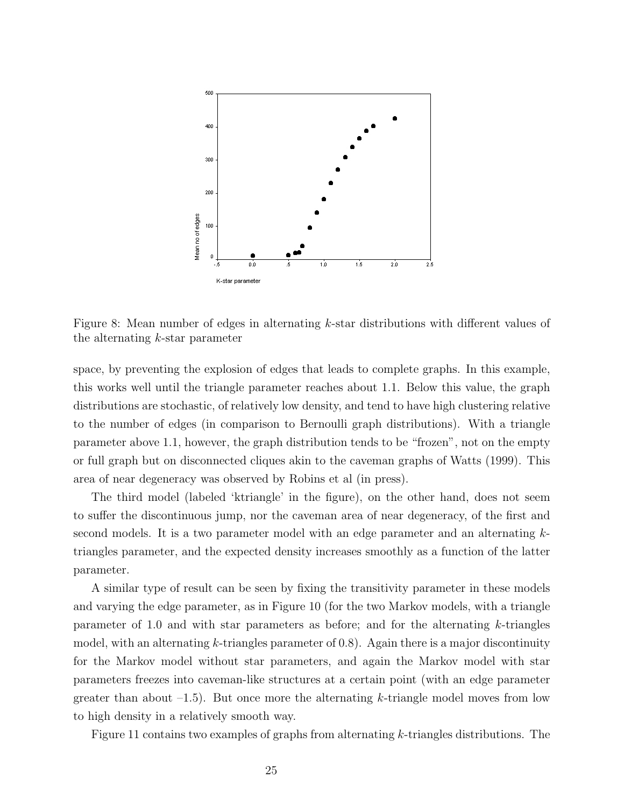

Figure 8: Mean number of edges in alternating k-star distributions with different values of the alternating k-star parameter

space, by preventing the explosion of edges that leads to complete graphs. In this example, this works well until the triangle parameter reaches about 1.1. Below this value, the graph distributions are stochastic, of relatively low density, and tend to have high clustering relative to the number of edges (in comparison to Bernoulli graph distributions). With a triangle parameter above 1.1, however, the graph distribution tends to be "frozen", not on the empty or full graph but on disconnected cliques akin to the caveman graphs of Watts (1999). This area of near degeneracy was observed by Robins et al (in press).

The third model (labeled 'ktriangle' in the figure), on the other hand, does not seem to suffer the discontinuous jump, nor the caveman area of near degeneracy, of the first and second models. It is a two parameter model with an edge parameter and an alternating  $k$ triangles parameter, and the expected density increases smoothly as a function of the latter parameter.

A similar type of result can be seen by fixing the transitivity parameter in these models and varying the edge parameter, as in Figure 10 (for the two Markov models, with a triangle parameter of 1.0 and with star parameters as before; and for the alternating k-triangles model, with an alternating  $k$ -triangles parameter of 0.8). Again there is a major discontinuity for the Markov model without star parameters, and again the Markov model with star parameters freezes into caveman-like structures at a certain point (with an edge parameter greater than about  $-1.5$ ). But once more the alternating k-triangle model moves from low to high density in a relatively smooth way.

Figure 11 contains two examples of graphs from alternating k-triangles distributions. The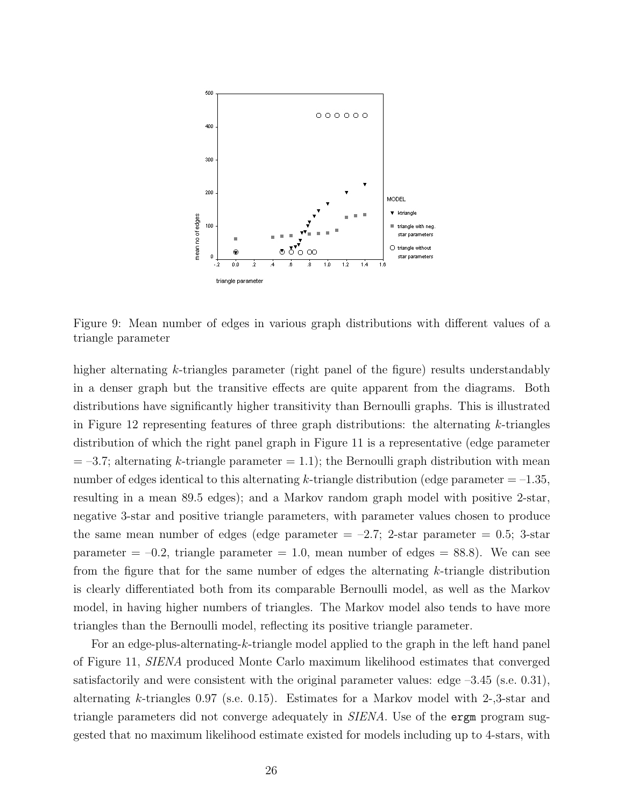

Figure 9: Mean number of edges in various graph distributions with different values of a triangle parameter

higher alternating k-triangles parameter (right panel of the figure) results understandably in a denser graph but the transitive effects are quite apparent from the diagrams. Both distributions have significantly higher transitivity than Bernoulli graphs. This is illustrated in Figure 12 representing features of three graph distributions: the alternating k-triangles distribution of which the right panel graph in Figure 11 is a representative (edge parameter  $= -3.7$ ; alternating k-triangle parameter  $= 1.1$ ); the Bernoulli graph distribution with mean number of edges identical to this alternating k-triangle distribution (edge parameter  $= -1.35$ , resulting in a mean 89.5 edges); and a Markov random graph model with positive 2-star, negative 3-star and positive triangle parameters, with parameter values chosen to produce the same mean number of edges (edge parameter  $= -2.7$ ; 2-star parameter  $= 0.5$ ; 3-star parameter  $= -0.2$ , triangle parameter  $= 1.0$ , mean number of edges  $= 88.8$ ). We can see from the figure that for the same number of edges the alternating  $k$ -triangle distribution is clearly differentiated both from its comparable Bernoulli model, as well as the Markov model, in having higher numbers of triangles. The Markov model also tends to have more triangles than the Bernoulli model, reflecting its positive triangle parameter.

For an edge-plus-alternating-k-triangle model applied to the graph in the left hand panel of Figure 11, SIENA produced Monte Carlo maximum likelihood estimates that converged satisfactorily and were consistent with the original parameter values: edge –3.45 (s.e. 0.31), alternating k-triangles 0.97 (s.e. 0.15). Estimates for a Markov model with 2-,3-star and triangle parameters did not converge adequately in SIENA. Use of the ergm program suggested that no maximum likelihood estimate existed for models including up to 4-stars, with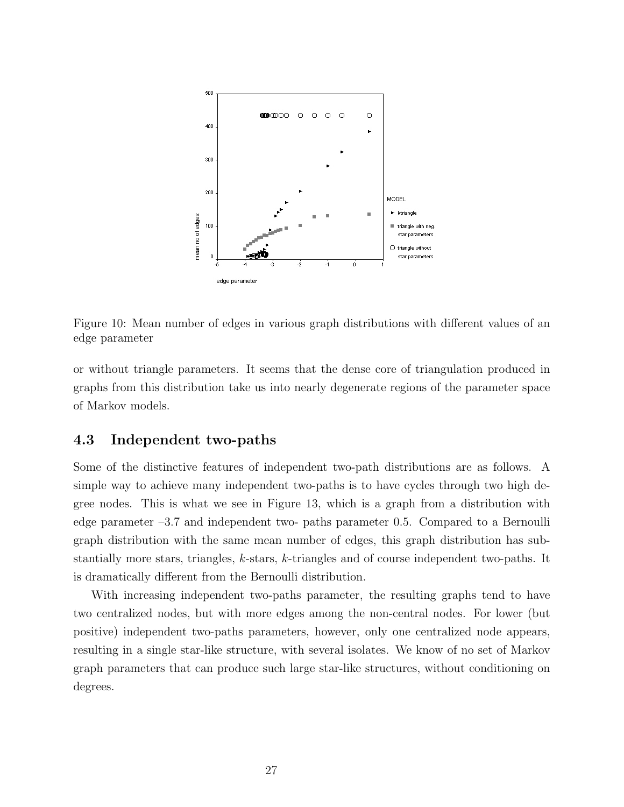

Figure 10: Mean number of edges in various graph distributions with different values of an edge parameter

or without triangle parameters. It seems that the dense core of triangulation produced in graphs from this distribution take us into nearly degenerate regions of the parameter space of Markov models.

#### 4.3 Independent two-paths

Some of the distinctive features of independent two-path distributions are as follows. A simple way to achieve many independent two-paths is to have cycles through two high degree nodes. This is what we see in Figure 13, which is a graph from a distribution with edge parameter –3.7 and independent two- paths parameter 0.5. Compared to a Bernoulli graph distribution with the same mean number of edges, this graph distribution has substantially more stars, triangles, k-stars, k-triangles and of course independent two-paths. It is dramatically different from the Bernoulli distribution.

With increasing independent two-paths parameter, the resulting graphs tend to have two centralized nodes, but with more edges among the non-central nodes. For lower (but positive) independent two-paths parameters, however, only one centralized node appears, resulting in a single star-like structure, with several isolates. We know of no set of Markov graph parameters that can produce such large star-like structures, without conditioning on degrees.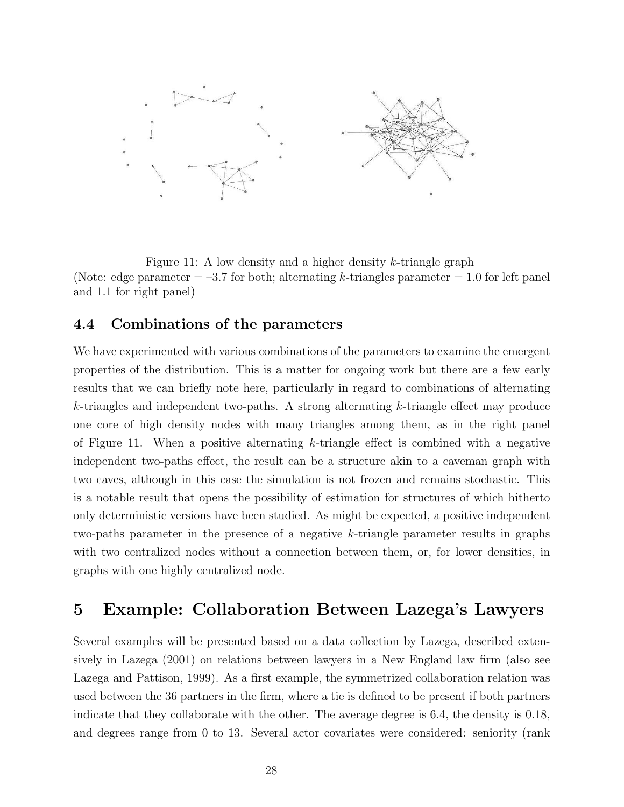

Figure 11: A low density and a higher density  $k$ -triangle graph (Note: edge parameter  $=$  -3.7 for both; alternating k-triangles parameter  $=$  1.0 for left panel and 1.1 for right panel)

### 4.4 Combinations of the parameters

We have experimented with various combinations of the parameters to examine the emergent properties of the distribution. This is a matter for ongoing work but there are a few early results that we can briefly note here, particularly in regard to combinations of alternating  $k$ -triangles and independent two-paths. A strong alternating  $k$ -triangle effect may produce one core of high density nodes with many triangles among them, as in the right panel of Figure 11. When a positive alternating  $k$ -triangle effect is combined with a negative independent two-paths effect, the result can be a structure akin to a caveman graph with two caves, although in this case the simulation is not frozen and remains stochastic. This is a notable result that opens the possibility of estimation for structures of which hitherto only deterministic versions have been studied. As might be expected, a positive independent two-paths parameter in the presence of a negative k-triangle parameter results in graphs with two centralized nodes without a connection between them, or, for lower densities, in graphs with one highly centralized node.

# 5 Example: Collaboration Between Lazega's Lawyers

Several examples will be presented based on a data collection by Lazega, described extensively in Lazega (2001) on relations between lawyers in a New England law firm (also see Lazega and Pattison, 1999). As a first example, the symmetrized collaboration relation was used between the 36 partners in the firm, where a tie is defined to be present if both partners indicate that they collaborate with the other. The average degree is 6.4, the density is 0.18, and degrees range from 0 to 13. Several actor covariates were considered: seniority (rank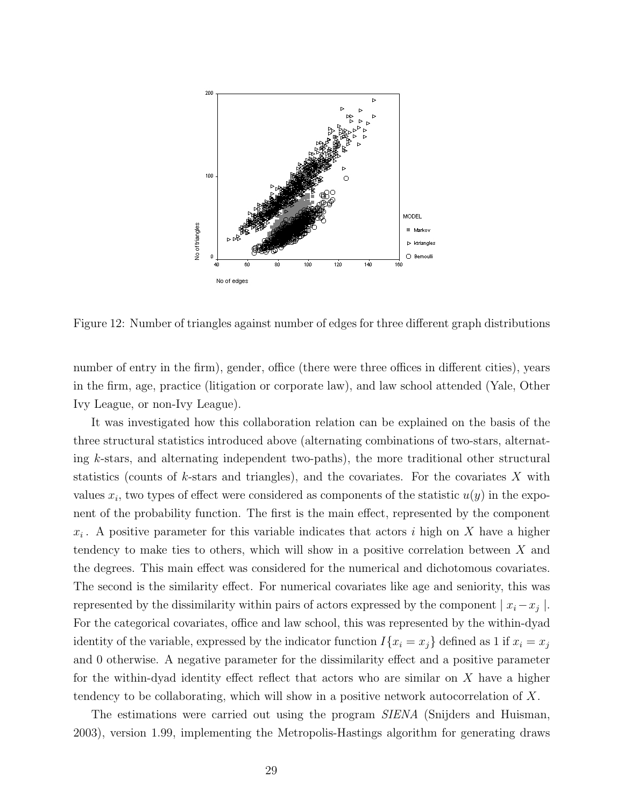

Figure 12: Number of triangles against number of edges for three different graph distributions

number of entry in the firm), gender, office (there were three offices in different cities), years in the firm, age, practice (litigation or corporate law), and law school attended (Yale, Other Ivy League, or non-Ivy League).

It was investigated how this collaboration relation can be explained on the basis of the three structural statistics introduced above (alternating combinations of two-stars, alternating k-stars, and alternating independent two-paths), the more traditional other structural statistics (counts of k-stars and triangles), and the covariates. For the covariates  $X$  with values  $x_i$ , two types of effect were considered as components of the statistic  $u(y)$  in the exponent of the probability function. The first is the main effect, represented by the component  $x_i$ . A positive parameter for this variable indicates that actors i high on X have a higher tendency to make ties to others, which will show in a positive correlation between X and the degrees. This main effect was considered for the numerical and dichotomous covariates. The second is the similarity effect. For numerical covariates like age and seniority, this was represented by the dissimilarity within pairs of actors expressed by the component  $|x_i - x_j|$ . For the categorical covariates, office and law school, this was represented by the within-dyad identity of the variable, expressed by the indicator function  $I\{x_i = x_j\}$  defined as 1 if  $x_i = x_j$ and 0 otherwise. A negative parameter for the dissimilarity effect and a positive parameter for the within-dyad identity effect reflect that actors who are similar on  $X$  have a higher tendency to be collaborating, which will show in a positive network autocorrelation of X.

The estimations were carried out using the program *SIENA* (Snijders and Huisman, 2003), version 1.99, implementing the Metropolis-Hastings algorithm for generating draws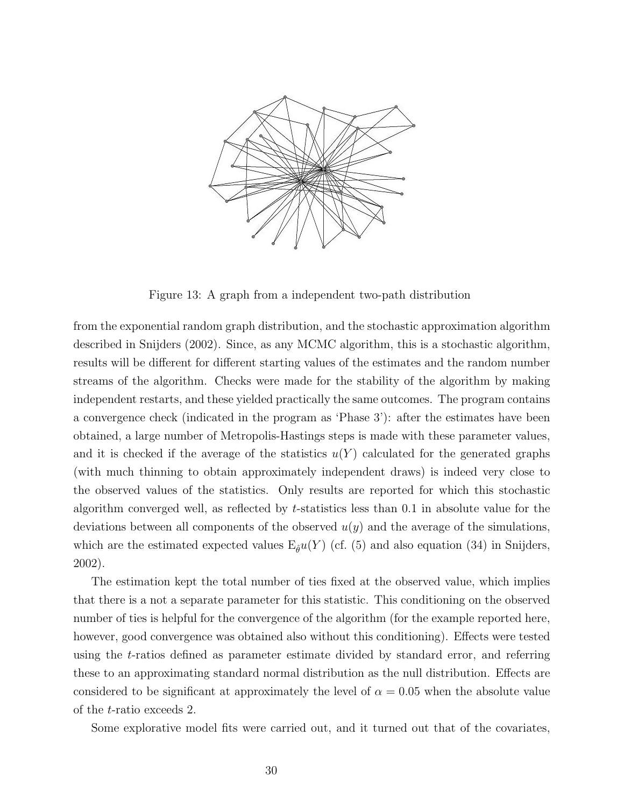

Figure 13: A graph from a independent two-path distribution

from the exponential random graph distribution, and the stochastic approximation algorithm described in Snijders (2002). Since, as any MCMC algorithm, this is a stochastic algorithm, results will be different for different starting values of the estimates and the random number streams of the algorithm. Checks were made for the stability of the algorithm by making independent restarts, and these yielded practically the same outcomes. The program contains a convergence check (indicated in the program as 'Phase 3'): after the estimates have been obtained, a large number of Metropolis-Hastings steps is made with these parameter values, and it is checked if the average of the statistics  $u(Y)$  calculated for the generated graphs (with much thinning to obtain approximately independent draws) is indeed very close to the observed values of the statistics. Only results are reported for which this stochastic algorithm converged well, as reflected by t-statistics less than 0.1 in absolute value for the deviations between all components of the observed  $u(y)$  and the average of the simulations, which are the estimated expected values  $E_{\hat{\theta}}u(Y)$  (cf. (5) and also equation (34) in Snijders, 2002).

The estimation kept the total number of ties fixed at the observed value, which implies that there is a not a separate parameter for this statistic. This conditioning on the observed number of ties is helpful for the convergence of the algorithm (for the example reported here, however, good convergence was obtained also without this conditioning). Effects were tested using the t-ratios defined as parameter estimate divided by standard error, and referring these to an approximating standard normal distribution as the null distribution. Effects are considered to be significant at approximately the level of  $\alpha = 0.05$  when the absolute value of the t-ratio exceeds 2.

Some explorative model fits were carried out, and it turned out that of the covariates,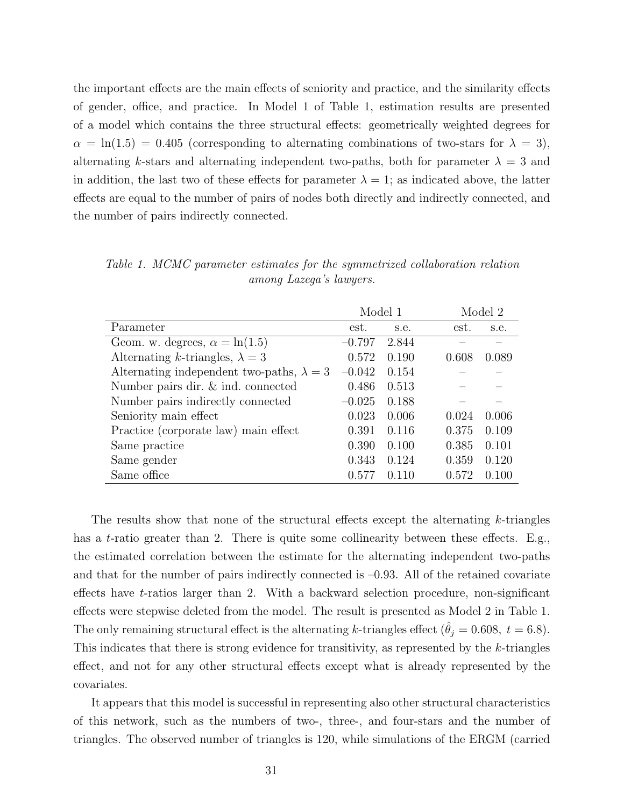the important effects are the main effects of seniority and practice, and the similarity effects of gender, office, and practice. In Model 1 of Table 1, estimation results are presented of a model which contains the three structural effects: geometrically weighted degrees for  $\alpha = \ln(1.5) = 0.405$  (corresponding to alternating combinations of two-stars for  $\lambda = 3$ ), alternating k-stars and alternating independent two-paths, both for parameter  $\lambda = 3$  and in addition, the last two of these effects for parameter  $\lambda = 1$ ; as indicated above, the latter effects are equal to the number of pairs of nodes both directly and indirectly connected, and the number of pairs indirectly connected.

|                                                  | Model 1  |       |       | Model 2 |  |
|--------------------------------------------------|----------|-------|-------|---------|--|
| Parameter                                        | est.     | s.e.  | est.  | s.e.    |  |
| Geom. w. degrees, $\alpha = \ln(1.5)$            | $-0.797$ | 2.844 |       |         |  |
| Alternating k-triangles, $\lambda = 3$           | 0.572    | 0.190 | 0.608 | 0.089   |  |
| Alternating independent two-paths, $\lambda = 3$ | $-0.042$ | 0.154 |       |         |  |
| Number pairs dir. & ind. connected               | 0.486    | 0.513 |       |         |  |
| Number pairs indirectly connected                | $-0.025$ | 0.188 |       |         |  |
| Seniority main effect                            | 0.023    | 0.006 | 0.024 | 0.006   |  |
| Practice (corporate law) main effect             | 0.391    | 0.116 | 0.375 | 0.109   |  |
| Same practice                                    | 0.390    | 0.100 | 0.385 | 0.101   |  |
| Same gender                                      | 0.343    | 0.124 | 0.359 | 0.120   |  |
| Same office                                      | 0.577    | 0.110 | 0.572 | 0.100   |  |

Table 1. MCMC parameter estimates for the symmetrized collaboration relation among Lazega's lawyers.

The results show that none of the structural effects except the alternating k-triangles has a *t*-ratio greater than 2. There is quite some collinearity between these effects. E.g., the estimated correlation between the estimate for the alternating independent two-paths and that for the number of pairs indirectly connected is  $-0.93$ . All of the retained covariate effects have t-ratios larger than 2. With a backward selection procedure, non-significant effects were stepwise deleted from the model. The result is presented as Model 2 in Table 1. The only remaining structural effect is the alternating k-triangles effect ( $\hat{\theta}_j = 0.608$ ,  $t = 6.8$ ). This indicates that there is strong evidence for transitivity, as represented by the k-triangles effect, and not for any other structural effects except what is already represented by the covariates.

It appears that this model is successful in representing also other structural characteristics of this network, such as the numbers of two-, three-, and four-stars and the number of triangles. The observed number of triangles is 120, while simulations of the ERGM (carried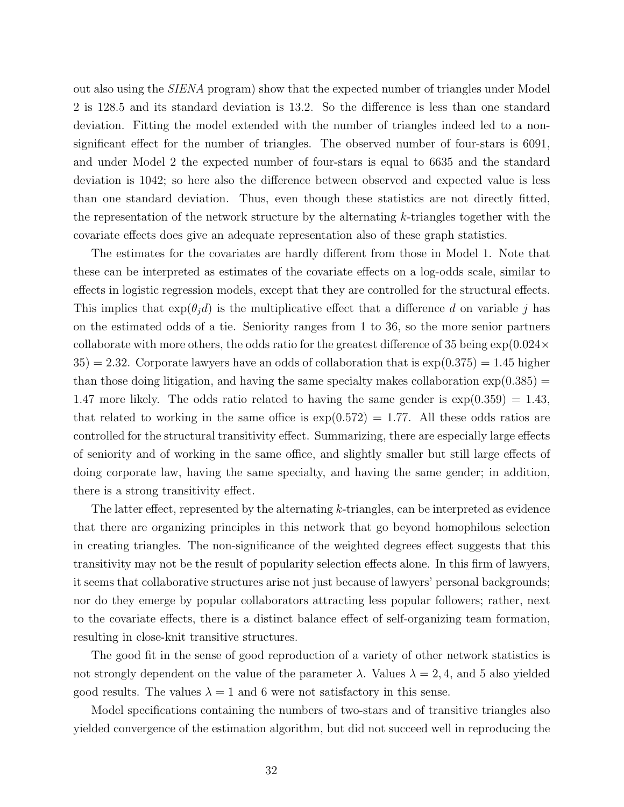out also using the SIENA program) show that the expected number of triangles under Model 2 is 128.5 and its standard deviation is 13.2. So the difference is less than one standard deviation. Fitting the model extended with the number of triangles indeed led to a nonsignificant effect for the number of triangles. The observed number of four-stars is 6091, and under Model 2 the expected number of four-stars is equal to 6635 and the standard deviation is 1042; so here also the difference between observed and expected value is less than one standard deviation. Thus, even though these statistics are not directly fitted, the representation of the network structure by the alternating k-triangles together with the covariate effects does give an adequate representation also of these graph statistics.

The estimates for the covariates are hardly different from those in Model 1. Note that these can be interpreted as estimates of the covariate effects on a log-odds scale, similar to effects in logistic regression models, except that they are controlled for the structural effects. This implies that  $exp(\theta_i d)$  is the multiplicative effect that a difference d on variable j has on the estimated odds of a tie. Seniority ranges from 1 to 36, so the more senior partners collaborate with more others, the odds ratio for the greatest difference of 35 being  $\exp(0.024 \times$  $35$  = 2.32. Corporate lawyers have an odds of collaboration that is  $\exp(0.375) = 1.45$  higher than those doing litigation, and having the same specialty makes collaboration  $\exp(0.385)$  = 1.47 more likely. The odds ratio related to having the same gender is  $\exp(0.359) = 1.43$ , that related to working in the same office is  $\exp(0.572) = 1.77$ . All these odds ratios are controlled for the structural transitivity effect. Summarizing, there are especially large effects of seniority and of working in the same office, and slightly smaller but still large effects of doing corporate law, having the same specialty, and having the same gender; in addition, there is a strong transitivity effect.

The latter effect, represented by the alternating k-triangles, can be interpreted as evidence that there are organizing principles in this network that go beyond homophilous selection in creating triangles. The non-significance of the weighted degrees effect suggests that this transitivity may not be the result of popularity selection effects alone. In this firm of lawyers, it seems that collaborative structures arise not just because of lawyers' personal backgrounds; nor do they emerge by popular collaborators attracting less popular followers; rather, next to the covariate effects, there is a distinct balance effect of self-organizing team formation, resulting in close-knit transitive structures.

The good fit in the sense of good reproduction of a variety of other network statistics is not strongly dependent on the value of the parameter  $\lambda$ . Values  $\lambda = 2, 4$ , and 5 also yielded good results. The values  $\lambda = 1$  and 6 were not satisfactory in this sense.

Model specifications containing the numbers of two-stars and of transitive triangles also yielded convergence of the estimation algorithm, but did not succeed well in reproducing the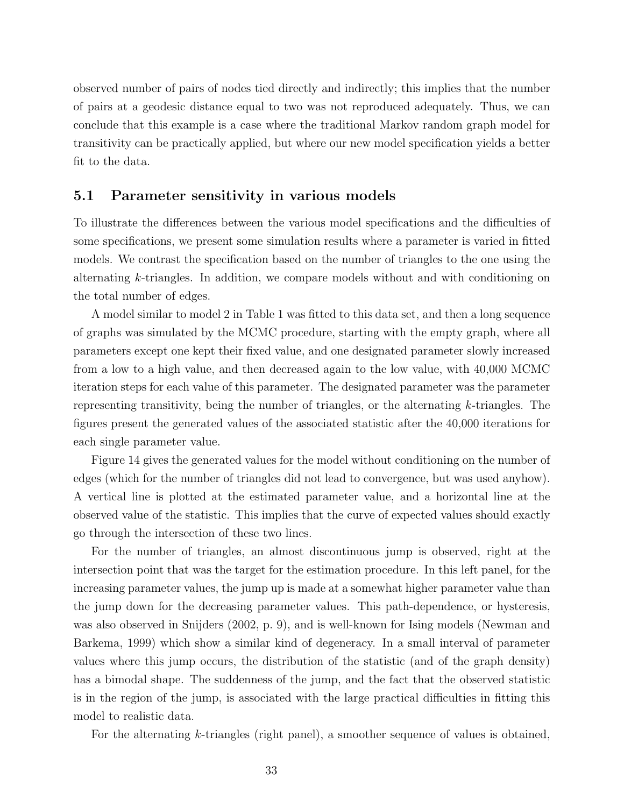observed number of pairs of nodes tied directly and indirectly; this implies that the number of pairs at a geodesic distance equal to two was not reproduced adequately. Thus, we can conclude that this example is a case where the traditional Markov random graph model for transitivity can be practically applied, but where our new model specification yields a better fit to the data.

#### 5.1 Parameter sensitivity in various models

To illustrate the differences between the various model specifications and the difficulties of some specifications, we present some simulation results where a parameter is varied in fitted models. We contrast the specification based on the number of triangles to the one using the alternating k-triangles. In addition, we compare models without and with conditioning on the total number of edges.

A model similar to model 2 in Table 1 was fitted to this data set, and then a long sequence of graphs was simulated by the MCMC procedure, starting with the empty graph, where all parameters except one kept their fixed value, and one designated parameter slowly increased from a low to a high value, and then decreased again to the low value, with 40,000 MCMC iteration steps for each value of this parameter. The designated parameter was the parameter representing transitivity, being the number of triangles, or the alternating k-triangles. The figures present the generated values of the associated statistic after the 40,000 iterations for each single parameter value.

Figure 14 gives the generated values for the model without conditioning on the number of edges (which for the number of triangles did not lead to convergence, but was used anyhow). A vertical line is plotted at the estimated parameter value, and a horizontal line at the observed value of the statistic. This implies that the curve of expected values should exactly go through the intersection of these two lines.

For the number of triangles, an almost discontinuous jump is observed, right at the intersection point that was the target for the estimation procedure. In this left panel, for the increasing parameter values, the jump up is made at a somewhat higher parameter value than the jump down for the decreasing parameter values. This path-dependence, or hysteresis, was also observed in Snijders (2002, p. 9), and is well-known for Ising models (Newman and Barkema, 1999) which show a similar kind of degeneracy. In a small interval of parameter values where this jump occurs, the distribution of the statistic (and of the graph density) has a bimodal shape. The suddenness of the jump, and the fact that the observed statistic is in the region of the jump, is associated with the large practical difficulties in fitting this model to realistic data.

For the alternating k-triangles (right panel), a smoother sequence of values is obtained,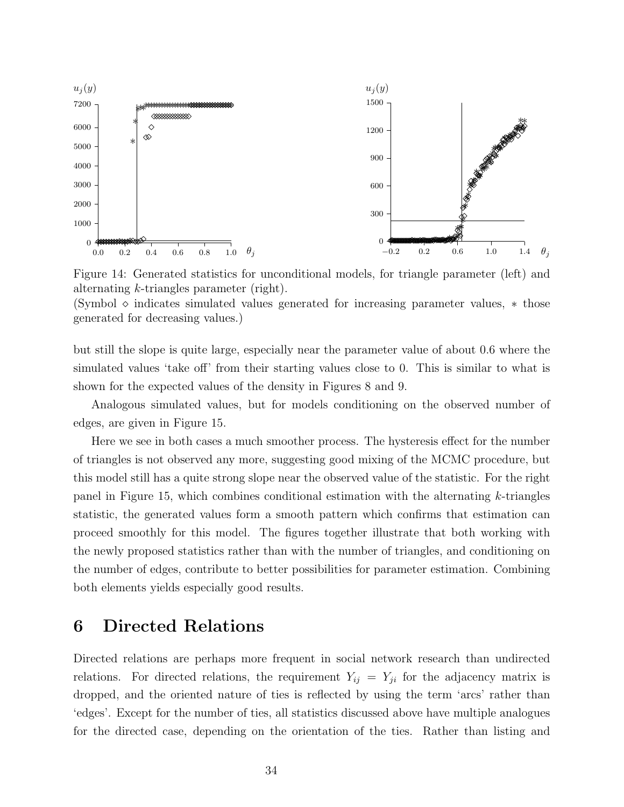

Figure 14: Generated statistics for unconditional models, for triangle parameter (left) and alternating k-triangles parameter (right).

(Symbol  $\diamond$  indicates simulated values generated for increasing parameter values,  $*$  those generated for decreasing values.)

but still the slope is quite large, especially near the parameter value of about 0.6 where the simulated values 'take off' from their starting values close to 0. This is similar to what is shown for the expected values of the density in Figures 8 and 9.

Analogous simulated values, but for models conditioning on the observed number of edges, are given in Figure 15.

Here we see in both cases a much smoother process. The hysteresis effect for the number of triangles is not observed any more, suggesting good mixing of the MCMC procedure, but this model still has a quite strong slope near the observed value of the statistic. For the right panel in Figure 15, which combines conditional estimation with the alternating k-triangles statistic, the generated values form a smooth pattern which confirms that estimation can proceed smoothly for this model. The figures together illustrate that both working with the newly proposed statistics rather than with the number of triangles, and conditioning on the number of edges, contribute to better possibilities for parameter estimation. Combining both elements yields especially good results.

# 6 Directed Relations

Directed relations are perhaps more frequent in social network research than undirected relations. For directed relations, the requirement  $Y_{ij} = Y_{ji}$  for the adjacency matrix is dropped, and the oriented nature of ties is reflected by using the term 'arcs' rather than 'edges'. Except for the number of ties, all statistics discussed above have multiple analogues for the directed case, depending on the orientation of the ties. Rather than listing and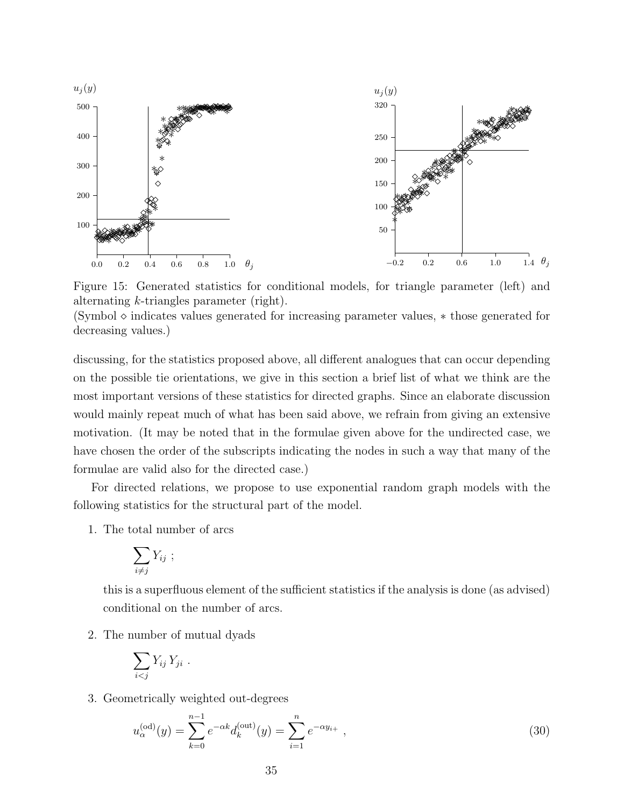

Figure 15: Generated statistics for conditional models, for triangle parameter (left) and alternating k-triangles parameter (right).

 $(Symbol \diamond$  indicates values generated for increasing parameter values,  $*$  those generated for decreasing values.)

discussing, for the statistics proposed above, all different analogues that can occur depending on the possible tie orientations, we give in this section a brief list of what we think are the most important versions of these statistics for directed graphs. Since an elaborate discussion would mainly repeat much of what has been said above, we refrain from giving an extensive motivation. (It may be noted that in the formulae given above for the undirected case, we have chosen the order of the subscripts indicating the nodes in such a way that many of the formulae are valid also for the directed case.)

For directed relations, we propose to use exponential random graph models with the following statistics for the structural part of the model.

1. The total number of arcs

$$
\sum_{i\neq j} Y_{ij} ;
$$

this is a superfluous element of the sufficient statistics if the analysis is done (as advised) conditional on the number of arcs.

2. The number of mutual dyads

$$
\sum_{i
$$

3. Geometrically weighted out-degrees

$$
u_{\alpha}^{(\text{od})}(y) = \sum_{k=0}^{n-1} e^{-\alpha k} d_k^{(\text{out})}(y) = \sum_{i=1}^{n} e^{-\alpha y_{i+}},
$$
\n(30)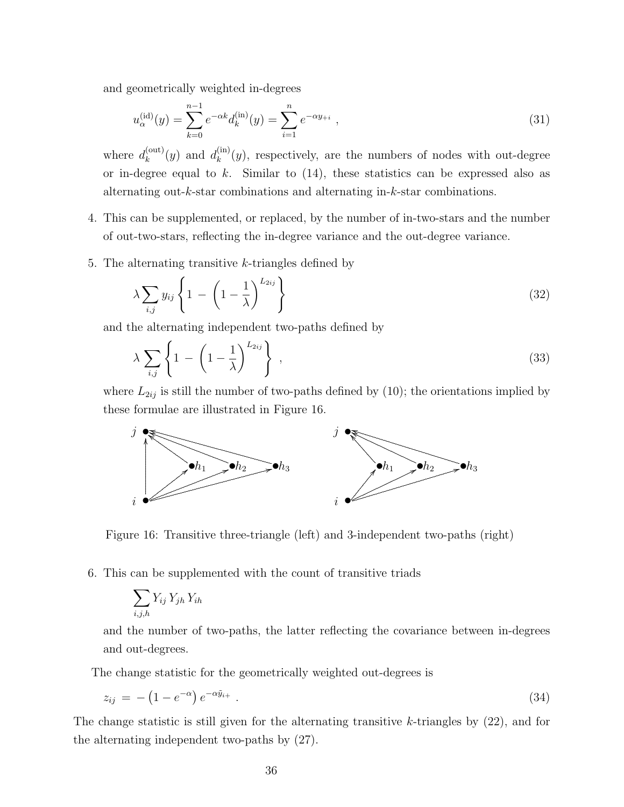and geometrically weighted in-degrees

$$
u_{\alpha}^{(\text{id})}(y) = \sum_{k=0}^{n-1} e^{-\alpha k} d_k^{(\text{in})}(y) = \sum_{i=1}^{n} e^{-\alpha y_{+i}}, \qquad (31)
$$

where  $d_k^{(\text{out})}$  $\binom{(\text{out})}{k}(y)$  and  $d_k^{(\text{in})}$  $\binom{m}{k}(y)$ , respectively, are the numbers of nodes with out-degree or in-degree equal to  $k$ . Similar to  $(14)$ , these statistics can be expressed also as alternating out-k-star combinations and alternating in-k-star combinations.

- 4. This can be supplemented, or replaced, by the number of in-two-stars and the number of out-two-stars, reflecting the in-degree variance and the out-degree variance.
- 5. The alternating transitive  $k$ -triangles defined by

$$
\lambda \sum_{i,j} y_{ij} \left\{ 1 - \left( 1 - \frac{1}{\lambda} \right)^{L_{2ij}} \right\} \tag{32}
$$

and the alternating independent two-paths defined by

$$
\lambda \sum_{i,j} \left\{ 1 - \left( 1 - \frac{1}{\lambda} \right)^{L_{2ij}} \right\} , \qquad (33)
$$

where  $L_{2ij}$  is still the number of two-paths defined by (10); the orientations implied by these formulae are illustrated in Figure 16.



Figure 16: Transitive three-triangle (left) and 3-independent two-paths (right)

6. This can be supplemented with the count of transitive triads

$$
\sum_{i,j,h} Y_{ij} Y_{jh} Y_{ih}
$$

and the number of two-paths, the latter reflecting the covariance between in-degrees and out-degrees.

The change statistic for the geometrically weighted out-degrees is

$$
z_{ij} = -\left(1 - e^{-\alpha}\right)e^{-\alpha \tilde{y}_{i+}}.
$$
\n(34)

The change statistic is still given for the alternating transitive  $k$ -triangles by  $(22)$ , and for the alternating independent two-paths by (27).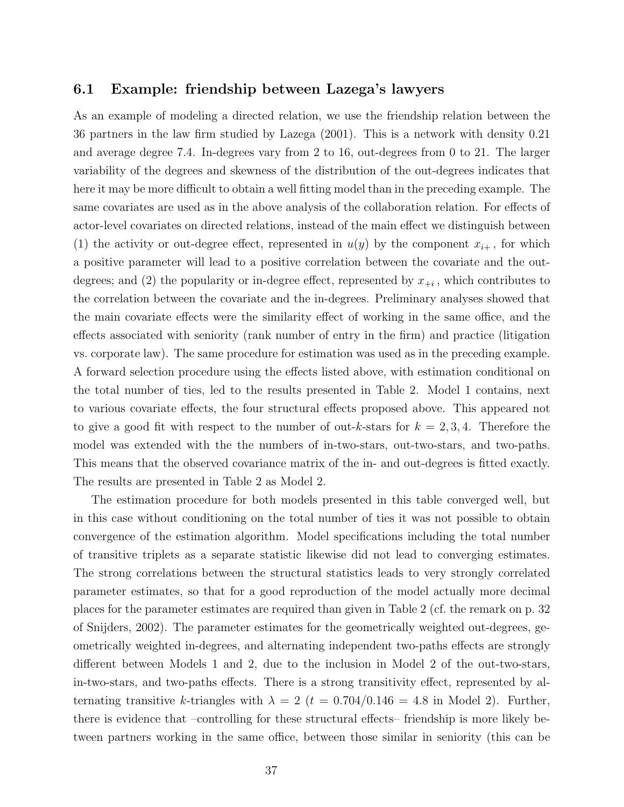#### 6.1 Example: friendship between Lazega's lawyers

As an example of modeling a directed relation, we use the friendship relation between the 36 partners in the law firm studied by Lazega (2001). This is a network with density 0.21 and average degree 7.4. In-degrees vary from 2 to 16, out-degrees from 0 to 21. The larger variability of the degrees and skewness of the distribution of the out-degrees indicates that here it may be more difficult to obtain a well fitting model than in the preceding example. The same covariates are used as in the above analysis of the collaboration relation. For effects of actor-level covariates on directed relations, instead of the main effect we distinguish between (1) the activity or out-degree effect, represented in  $u(y)$  by the component  $x_{i+}$ , for which a positive parameter will lead to a positive correlation between the covariate and the outdegrees; and (2) the popularity or in-degree effect, represented by  $x_{+i}$ , which contributes to the correlation between the covariate and the in-degrees. Preliminary analyses showed that the main covariate effects were the similarity effect of working in the same office, and the effects associated with seniority (rank number of entry in the firm) and practice (litigation vs. corporate law). The same procedure for estimation was used as in the preceding example. A forward selection procedure using the effects listed above, with estimation conditional on the total number of ties, led to the results presented in Table 2. Model 1 contains, next to various covariate effects, the four structural effects proposed above. This appeared not to give a good fit with respect to the number of out-k-stars for  $k = 2, 3, 4$ . Therefore the model was extended with the the numbers of in-two-stars, out-two-stars, and two-paths. This means that the observed covariance matrix of the in- and out-degrees is fitted exactly. The results are presented in Table 2 as Model 2.

The estimation procedure for both models presented in this table converged well, but in this case without conditioning on the total number of ties it was not possible to obtain convergence of the estimation algorithm. Model specifications including the total number of transitive triplets as a separate statistic likewise did not lead to converging estimates. The strong correlations between the structural statistics leads to very strongly correlated parameter estimates, so that for a good reproduction of the model actually more decimal places for the parameter estimates are required than given in Table 2 (cf. the remark on p. 32 of Snijders, 2002). The parameter estimates for the geometrically weighted out-degrees, geometrically weighted in-degrees, and alternating independent two-paths effects are strongly different between Models 1 and 2, due to the inclusion in Model 2 of the out-two-stars, in-two-stars, and two-paths effects. There is a strong transitivity effect, represented by alternating transitive k-triangles with  $\lambda = 2$  (t = 0.704/0.146 = 4.8 in Model 2). Further, there is evidence that –controlling for these structural effects– friendship is more likely between partners working in the same office, between those similar in seniority (this can be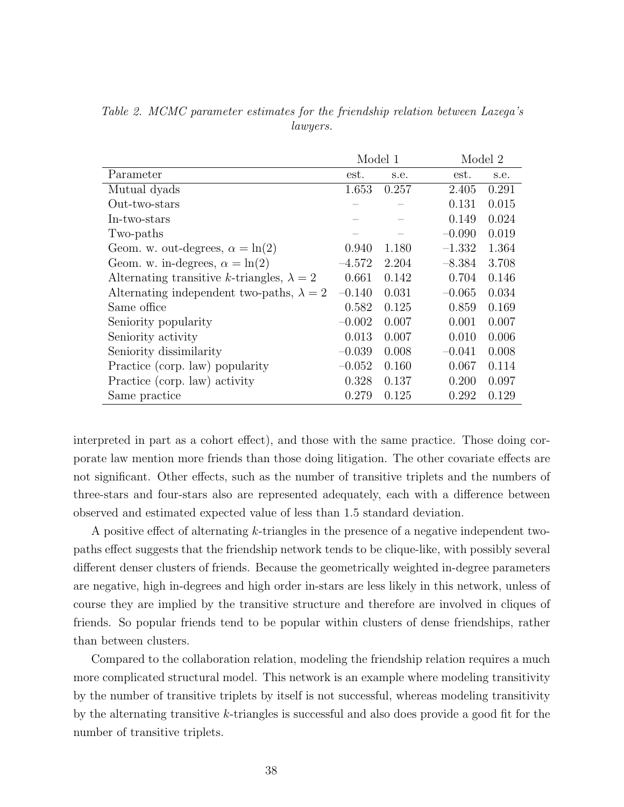|                                                   | Model 1  |       |          | Model 2 |  |
|---------------------------------------------------|----------|-------|----------|---------|--|
| Parameter                                         | est.     | s.e.  | est.     | s.e.    |  |
| Mutual dyads                                      | 1.653    | 0.257 | 2.405    | 0.291   |  |
| Out-two-stars                                     |          |       | 0.131    | 0.015   |  |
| In-two-stars                                      |          |       | 0.149    | 0.024   |  |
| Two-paths                                         |          |       | $-0.090$ | 0.019   |  |
| Geom. w. out-degrees, $\alpha = \ln(2)$           | 0.940    | 1.180 | $-1.332$ | 1.364   |  |
| Geom. w. in-degrees, $\alpha = \ln(2)$            | $-4.572$ | 2.204 | $-8.384$ | 3.708   |  |
| Alternating transitive k-triangles, $\lambda = 2$ | 0.661    | 0.142 | 0.704    | 0.146   |  |
| Alternating independent two-paths, $\lambda = 2$  | $-0.140$ | 0.031 | $-0.065$ | 0.034   |  |
| Same office                                       | 0.582    | 0.125 | 0.859    | 0.169   |  |
| Seniority popularity                              | $-0.002$ | 0.007 | 0.001    | 0.007   |  |
| Seniority activity                                | 0.013    | 0.007 | 0.010    | 0.006   |  |
| Seniority dissimilarity                           | $-0.039$ | 0.008 | $-0.041$ | 0.008   |  |
| Practice (corp. law) popularity                   | $-0.052$ | 0.160 | 0.067    | 0.114   |  |
| Practice (corp. law) activity                     | 0.328    | 0.137 | 0.200    | 0.097   |  |
| Same practice                                     | 0.279    | 0.125 | 0.292    | 0.129   |  |

Table 2. MCMC parameter estimates for the friendship relation between Lazega's lawyers.

interpreted in part as a cohort effect), and those with the same practice. Those doing corporate law mention more friends than those doing litigation. The other covariate effects are not significant. Other effects, such as the number of transitive triplets and the numbers of three-stars and four-stars also are represented adequately, each with a difference between observed and estimated expected value of less than 1.5 standard deviation.

A positive effect of alternating k-triangles in the presence of a negative independent twopaths effect suggests that the friendship network tends to be clique-like, with possibly several different denser clusters of friends. Because the geometrically weighted in-degree parameters are negative, high in-degrees and high order in-stars are less likely in this network, unless of course they are implied by the transitive structure and therefore are involved in cliques of friends. So popular friends tend to be popular within clusters of dense friendships, rather than between clusters.

Compared to the collaboration relation, modeling the friendship relation requires a much more complicated structural model. This network is an example where modeling transitivity by the number of transitive triplets by itself is not successful, whereas modeling transitivity by the alternating transitive k-triangles is successful and also does provide a good fit for the number of transitive triplets.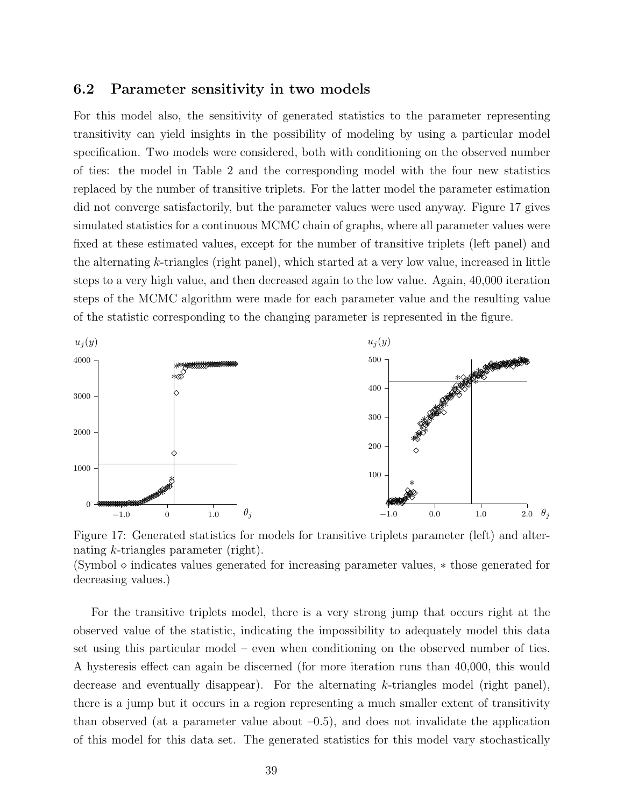#### 6.2 Parameter sensitivity in two models

For this model also, the sensitivity of generated statistics to the parameter representing transitivity can yield insights in the possibility of modeling by using a particular model specification. Two models were considered, both with conditioning on the observed number of ties: the model in Table 2 and the corresponding model with the four new statistics replaced by the number of transitive triplets. For the latter model the parameter estimation did not converge satisfactorily, but the parameter values were used anyway. Figure 17 gives simulated statistics for a continuous MCMC chain of graphs, where all parameter values were fixed at these estimated values, except for the number of transitive triplets (left panel) and the alternating k-triangles (right panel), which started at a very low value, increased in little steps to a very high value, and then decreased again to the low value. Again, 40,000 iteration steps of the MCMC algorithm were made for each parameter value and the resulting value of the statistic corresponding to the changing parameter is represented in the figure.



Figure 17: Generated statistics for models for transitive triplets parameter (left) and alternating k-triangles parameter (right). (Symbol  $\diamond$  indicates values generated for increasing parameter values,  $*$  those generated for decreasing values.)

For the transitive triplets model, there is a very strong jump that occurs right at the observed value of the statistic, indicating the impossibility to adequately model this data set using this particular model – even when conditioning on the observed number of ties. A hysteresis effect can again be discerned (for more iteration runs than 40,000, this would decrease and eventually disappear). For the alternating  $k$ -triangles model (right panel), there is a jump but it occurs in a region representing a much smaller extent of transitivity than observed (at a parameter value about  $-0.5$ ), and does not invalidate the application of this model for this data set. The generated statistics for this model vary stochastically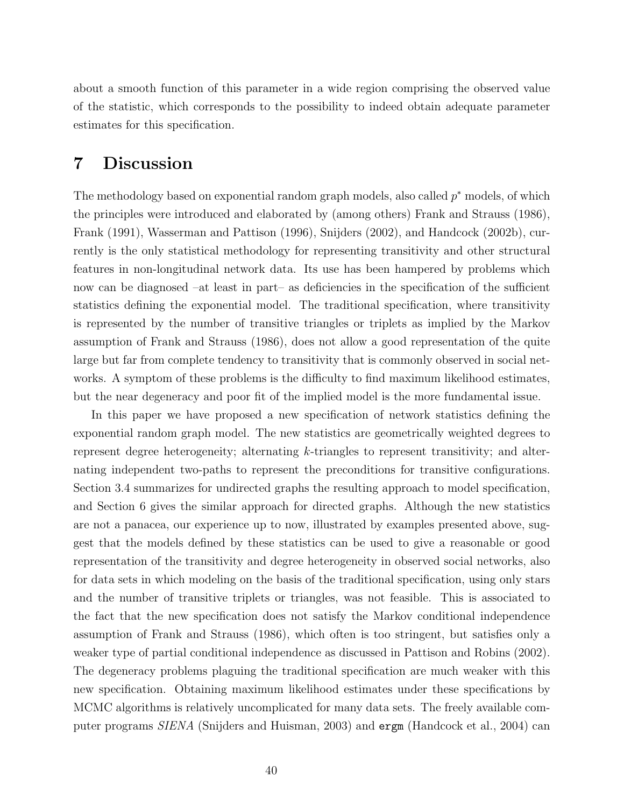about a smooth function of this parameter in a wide region comprising the observed value of the statistic, which corresponds to the possibility to indeed obtain adequate parameter estimates for this specification.

# 7 Discussion

The methodology based on exponential random graph models, also called  $p^*$  models, of which the principles were introduced and elaborated by (among others) Frank and Strauss (1986), Frank (1991), Wasserman and Pattison (1996), Snijders (2002), and Handcock (2002b), currently is the only statistical methodology for representing transitivity and other structural features in non-longitudinal network data. Its use has been hampered by problems which now can be diagnosed –at least in part– as deficiencies in the specification of the sufficient statistics defining the exponential model. The traditional specification, where transitivity is represented by the number of transitive triangles or triplets as implied by the Markov assumption of Frank and Strauss (1986), does not allow a good representation of the quite large but far from complete tendency to transitivity that is commonly observed in social networks. A symptom of these problems is the difficulty to find maximum likelihood estimates, but the near degeneracy and poor fit of the implied model is the more fundamental issue.

In this paper we have proposed a new specification of network statistics defining the exponential random graph model. The new statistics are geometrically weighted degrees to represent degree heterogeneity; alternating k-triangles to represent transitivity; and alternating independent two-paths to represent the preconditions for transitive configurations. Section 3.4 summarizes for undirected graphs the resulting approach to model specification, and Section 6 gives the similar approach for directed graphs. Although the new statistics are not a panacea, our experience up to now, illustrated by examples presented above, suggest that the models defined by these statistics can be used to give a reasonable or good representation of the transitivity and degree heterogeneity in observed social networks, also for data sets in which modeling on the basis of the traditional specification, using only stars and the number of transitive triplets or triangles, was not feasible. This is associated to the fact that the new specification does not satisfy the Markov conditional independence assumption of Frank and Strauss (1986), which often is too stringent, but satisfies only a weaker type of partial conditional independence as discussed in Pattison and Robins (2002). The degeneracy problems plaguing the traditional specification are much weaker with this new specification. Obtaining maximum likelihood estimates under these specifications by MCMC algorithms is relatively uncomplicated for many data sets. The freely available computer programs SIENA (Snijders and Huisman, 2003) and ergm (Handcock et al., 2004) can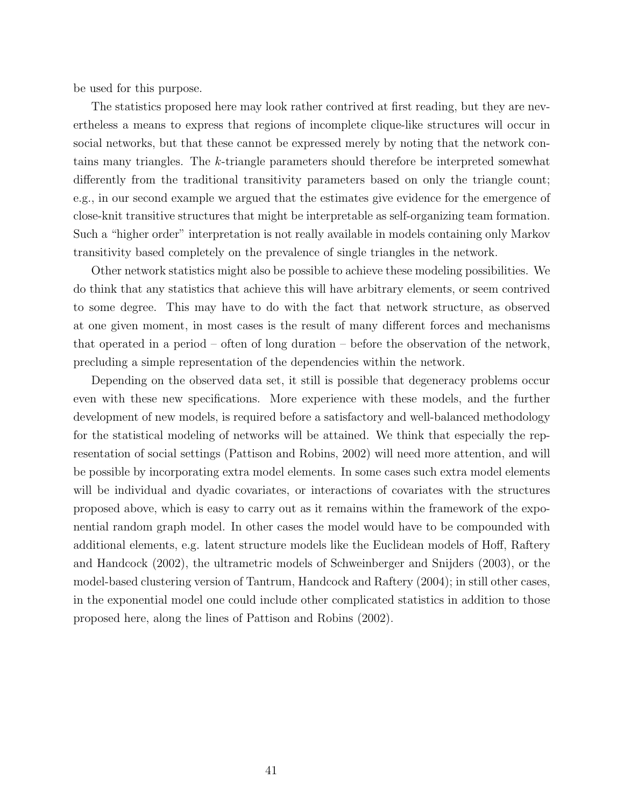be used for this purpose.

The statistics proposed here may look rather contrived at first reading, but they are nevertheless a means to express that regions of incomplete clique-like structures will occur in social networks, but that these cannot be expressed merely by noting that the network contains many triangles. The k-triangle parameters should therefore be interpreted somewhat differently from the traditional transitivity parameters based on only the triangle count; e.g., in our second example we argued that the estimates give evidence for the emergence of close-knit transitive structures that might be interpretable as self-organizing team formation. Such a "higher order" interpretation is not really available in models containing only Markov transitivity based completely on the prevalence of single triangles in the network.

Other network statistics might also be possible to achieve these modeling possibilities. We do think that any statistics that achieve this will have arbitrary elements, or seem contrived to some degree. This may have to do with the fact that network structure, as observed at one given moment, in most cases is the result of many different forces and mechanisms that operated in a period – often of long duration – before the observation of the network, precluding a simple representation of the dependencies within the network.

Depending on the observed data set, it still is possible that degeneracy problems occur even with these new specifications. More experience with these models, and the further development of new models, is required before a satisfactory and well-balanced methodology for the statistical modeling of networks will be attained. We think that especially the representation of social settings (Pattison and Robins, 2002) will need more attention, and will be possible by incorporating extra model elements. In some cases such extra model elements will be individual and dyadic covariates, or interactions of covariates with the structures proposed above, which is easy to carry out as it remains within the framework of the exponential random graph model. In other cases the model would have to be compounded with additional elements, e.g. latent structure models like the Euclidean models of Hoff, Raftery and Handcock (2002), the ultrametric models of Schweinberger and Snijders (2003), or the model-based clustering version of Tantrum, Handcock and Raftery (2004); in still other cases, in the exponential model one could include other complicated statistics in addition to those proposed here, along the lines of Pattison and Robins (2002).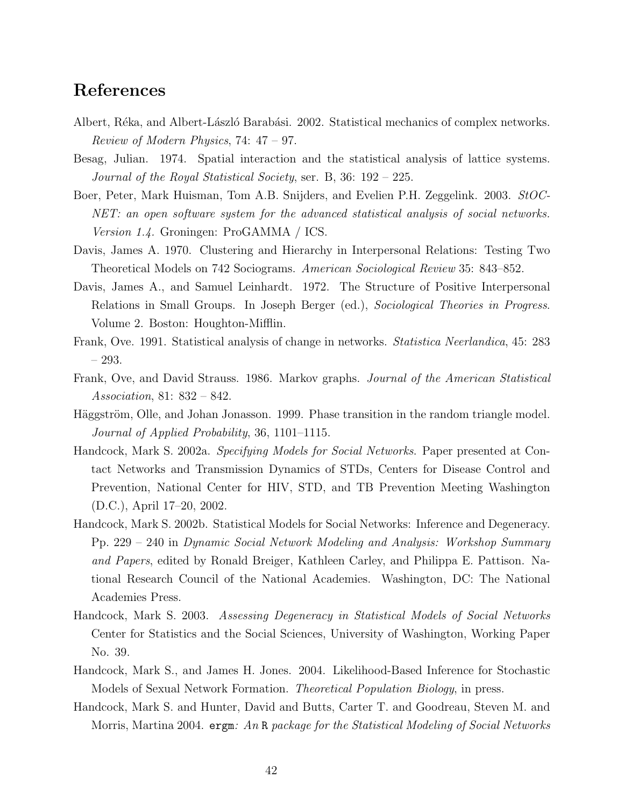# References

- Albert, Réka, and Albert-László Barabási. 2002. Statistical mechanics of complex networks. Review of Modern Physics, 74: 47 – 97.
- Besag, Julian. 1974. Spatial interaction and the statistical analysis of lattice systems. Journal of the Royal Statistical Society, ser. B, 36: 192 – 225.
- Boer, Peter, Mark Huisman, Tom A.B. Snijders, and Evelien P.H. Zeggelink. 2003. StOC-NET: an open software system for the advanced statistical analysis of social networks. Version 1.4. Groningen: ProGAMMA / ICS.
- Davis, James A. 1970. Clustering and Hierarchy in Interpersonal Relations: Testing Two Theoretical Models on 742 Sociograms. American Sociological Review 35: 843–852.
- Davis, James A., and Samuel Leinhardt. 1972. The Structure of Positive Interpersonal Relations in Small Groups. In Joseph Berger (ed.), Sociological Theories in Progress. Volume 2. Boston: Houghton-Mifflin.
- Frank, Ove. 1991. Statistical analysis of change in networks. Statistica Neerlandica, 45: 283 – 293.
- Frank, Ove, and David Strauss. 1986. Markov graphs. Journal of the American Statistical Association, 81: 832 – 842.
- Häggström, Olle, and Johan Jonasson. 1999. Phase transition in the random triangle model. Journal of Applied Probability, 36, 1101–1115.
- Handcock, Mark S. 2002a. Specifying Models for Social Networks. Paper presented at Contact Networks and Transmission Dynamics of STDs, Centers for Disease Control and Prevention, National Center for HIV, STD, and TB Prevention Meeting Washington (D.C.), April 17–20, 2002.
- Handcock, Mark S. 2002b. Statistical Models for Social Networks: Inference and Degeneracy. Pp. 229 – 240 in Dynamic Social Network Modeling and Analysis: Workshop Summary and Papers, edited by Ronald Breiger, Kathleen Carley, and Philippa E. Pattison. National Research Council of the National Academies. Washington, DC: The National Academies Press.
- Handcock, Mark S. 2003. Assessing Degeneracy in Statistical Models of Social Networks Center for Statistics and the Social Sciences, University of Washington, Working Paper No. 39.
- Handcock, Mark S., and James H. Jones. 2004. Likelihood-Based Inference for Stochastic Models of Sexual Network Formation. Theoretical Population Biology, in press.
- Handcock, Mark S. and Hunter, David and Butts, Carter T. and Goodreau, Steven M. and Morris, Martina 2004.  $\epsilon$ rgm: An R package for the Statistical Modeling of Social Networks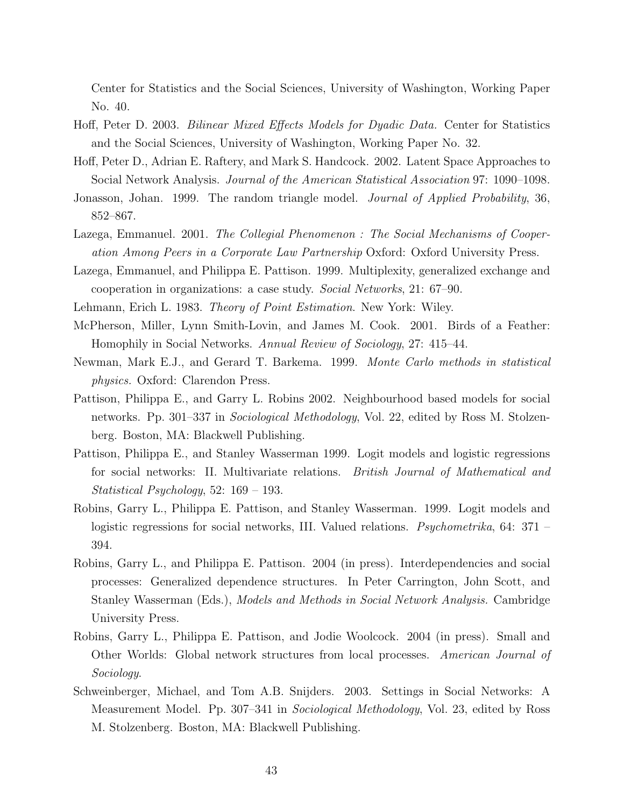Center for Statistics and the Social Sciences, University of Washington, Working Paper No. 40.

- Hoff, Peter D. 2003. Bilinear Mixed Effects Models for Dyadic Data. Center for Statistics and the Social Sciences, University of Washington, Working Paper No. 32.
- Hoff, Peter D., Adrian E. Raftery, and Mark S. Handcock. 2002. Latent Space Approaches to Social Network Analysis. *Journal of the American Statistical Association* 97: 1090–1098.
- Jonasson, Johan. 1999. The random triangle model. *Journal of Applied Probability*, 36, 852–867.
- Lazega, Emmanuel. 2001. The Collegial Phenomenon : The Social Mechanisms of Cooperation Among Peers in a Corporate Law Partnership Oxford: Oxford University Press.
- Lazega, Emmanuel, and Philippa E. Pattison. 1999. Multiplexity, generalized exchange and cooperation in organizations: a case study. Social Networks, 21: 67–90.
- Lehmann, Erich L. 1983. Theory of Point Estimation. New York: Wiley.
- McPherson, Miller, Lynn Smith-Lovin, and James M. Cook. 2001. Birds of a Feather: Homophily in Social Networks. Annual Review of Sociology, 27: 415–44.
- Newman, Mark E.J., and Gerard T. Barkema. 1999. Monte Carlo methods in statistical physics. Oxford: Clarendon Press.
- Pattison, Philippa E., and Garry L. Robins 2002. Neighbourhood based models for social networks. Pp. 301–337 in *Sociological Methodology*, Vol. 22, edited by Ross M. Stolzenberg. Boston, MA: Blackwell Publishing.
- Pattison, Philippa E., and Stanley Wasserman 1999. Logit models and logistic regressions for social networks: II. Multivariate relations. British Journal of Mathematical and Statistical Psychology, 52: 169 – 193.
- Robins, Garry L., Philippa E. Pattison, and Stanley Wasserman. 1999. Logit models and logistic regressions for social networks, III. Valued relations. *Psychometrika*, 64: 371 – 394.
- Robins, Garry L., and Philippa E. Pattison. 2004 (in press). Interdependencies and social processes: Generalized dependence structures. In Peter Carrington, John Scott, and Stanley Wasserman (Eds.), Models and Methods in Social Network Analysis. Cambridge University Press.
- Robins, Garry L., Philippa E. Pattison, and Jodie Woolcock. 2004 (in press). Small and Other Worlds: Global network structures from local processes. American Journal of Sociology.
- Schweinberger, Michael, and Tom A.B. Snijders. 2003. Settings in Social Networks: A Measurement Model. Pp. 307–341 in *Sociological Methodology*, Vol. 23, edited by Ross M. Stolzenberg. Boston, MA: Blackwell Publishing.